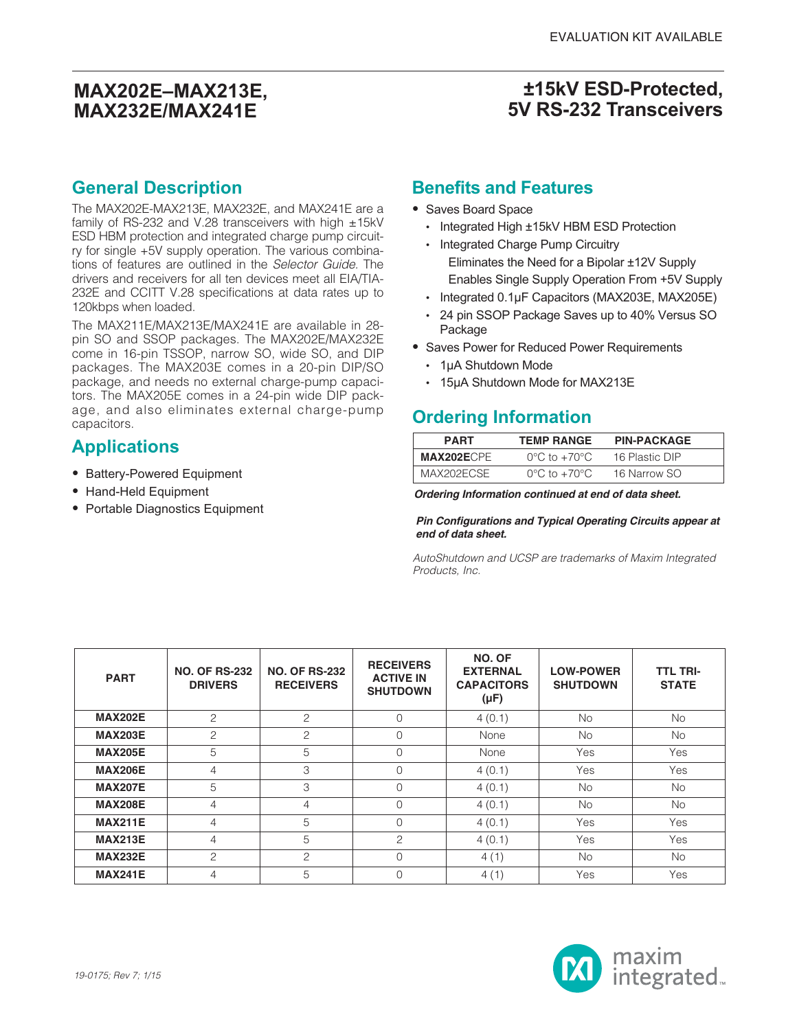### **±15kV ESD-Protected, 5V RS-232 Transceivers**

### **General Description**

The MAX202E-MAX213E, MAX232E, and MAX241E are a family of RS-232 and V.28 transceivers with high  $\pm$ 15kV ESD HBM protection and integrated charge pump circuitry for single +5V supply operation. The various combinations of features are outlined in the Selector Guide. The drivers and receivers for all ten devices meet all EIA/TIA-232E and CCITT V.28 specifications at data rates up to 120kbps when loaded.

The MAX211E/MAX213E/MAX241E are available in 28 pin SO and SSOP packages. The MAX202E/MAX232E come in 16-pin TSSOP, narrow SO, wide SO, and DIP packages. The MAX203E comes in a 20-pin DIP/SO package, and needs no external charge-pump capacitors. The MAX205E comes in a 24-pin wide DIP package, and also eliminates external charge-pump capacitors.

# **Applications**

- **•** Battery-Powered Equipment
- **•** Hand-Held Equipment
- **•** Portable Diagnostics Equipment

#### **Benefits and Features**

- **•** Saves Board Space
	- Integrated High ±15kV HBM ESD Protection
	- Integrated Charge Pump Circuitry Eliminates the Need for a Bipolar ±12V Supply Enables Single Supply Operation From +5V Supply
	- Integrated 0.1µF Capacitors (MAX203E, MAX205E)
	- 24 pin SSOP Package Saves up to 40% Versus SO Package
- **•** Saves Power for Reduced Power Requirements
	- 1µA Shutdown Mode
	- 15µA Shutdown Mode for MAX213E

## **Ordering Information**

| <b>PART</b> | <b>TEMP RANGE</b>                 | <b>PIN-PACKAGE</b> |
|-------------|-----------------------------------|--------------------|
| MAX202ECPE  | $0^{\circ}$ C to $+70^{\circ}$ C  | 16 Plastic DIP     |
| MAX202ECSE  | $0^{\circ}$ C to +70 $^{\circ}$ C | 16 Narrow SO       |

**Ordering Information continued at end of data sheet.**

**Pin Configurations and Typical Operating Circuits appear at end of data sheet.**

AutoShutdown and UCSP are trademarks of Maxim Integrated Products, Inc.

| <b>PART</b>    | <b>NO. OF RS-232</b><br><b>DRIVERS</b> | <b>NO. OF RS-232</b><br><b>RECEIVERS</b> | <b>RECEIVERS</b><br><b>ACTIVE IN</b><br><b>SHUTDOWN</b> | NO. OF<br><b>EXTERNAL</b><br><b>CAPACITORS</b><br>$(\mu F)$ | <b>LOW-POWER</b><br><b>SHUTDOWN</b> | <b>TTL TRI-</b><br><b>STATE</b> |
|----------------|----------------------------------------|------------------------------------------|---------------------------------------------------------|-------------------------------------------------------------|-------------------------------------|---------------------------------|
| <b>MAX202E</b> | $\mathfrak{D}$                         | 2                                        | $\Omega$                                                | 4(0.1)                                                      | <b>No</b>                           | <b>No</b>                       |
| <b>MAX203E</b> | $\overline{c}$                         | $\overline{c}$                           | $\Omega$                                                | <b>None</b>                                                 | <b>No</b>                           | <b>No</b>                       |
| <b>MAX205E</b> | 5                                      | 5                                        | $\Omega$                                                | None                                                        | Yes                                 | Yes                             |
| <b>MAX206E</b> | 4                                      | 3                                        | $\Omega$                                                | 4(0.1)                                                      | Yes                                 | Yes                             |
| <b>MAX207E</b> | 5                                      | 3                                        | $\Omega$                                                | 4(0.1)                                                      | No.                                 | <b>No</b>                       |
| <b>MAX208E</b> | $\overline{4}$                         | $\overline{4}$                           | $\Omega$                                                | 4(0.1)                                                      | <b>No</b>                           | <b>No</b>                       |
| <b>MAX211E</b> | 4                                      | 5                                        | $\Omega$                                                | 4(0.1)                                                      | Yes                                 | Yes                             |
| <b>MAX213E</b> | $\overline{4}$                         | 5                                        | 2                                                       | 4(0.1)                                                      | Yes                                 | Yes                             |
| <b>MAX232E</b> | 2                                      | 2                                        | $\Omega$                                                | 4(1)                                                        | <b>No</b>                           | <b>No</b>                       |
| <b>MAX241E</b> | 4                                      | 5                                        | $\Omega$                                                | 4(1)                                                        | Yes                                 | Yes                             |

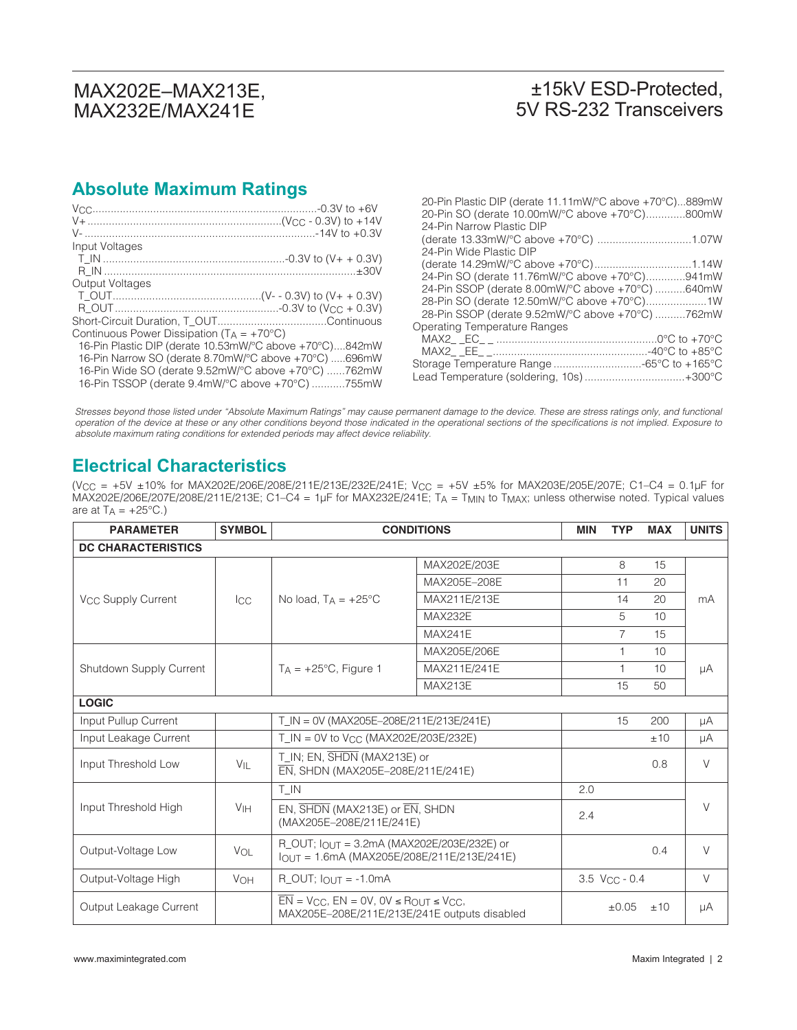### ±15kV ESD-Protected, 5V RS-232 Transceivers

# **Absolute Maximum Ratings**

|                                                                                                                                  | 20-Pin Plastic DIP (derate 11.11mW/°C above +70°C)889mW<br>20-Pin SO (derate 10.00mW/°C above +70°C)800mW |
|----------------------------------------------------------------------------------------------------------------------------------|-----------------------------------------------------------------------------------------------------------|
|                                                                                                                                  | 24-Pin Narrow Plastic DIP                                                                                 |
| Input Voltages                                                                                                                   | 24-Pin Wide Plastic DIP                                                                                   |
|                                                                                                                                  | 24-Pin SO (derate 11.76mW/°C above +70°C)941mW                                                            |
| Output Voltages                                                                                                                  | 24-Pin SSOP (derate 8.00mW/°C above +70°C) 640mW                                                          |
|                                                                                                                                  | 28-Pin SSOP (derate 9.52mW/°C above +70°C) 762mW                                                          |
| Continuous Power Dissipation (TA = +70°C)<br>16-Pin Plastic DIP (derate 10.53mW/°C above +70°C)842mW                             | <b>Operating Temperature Ranges</b>                                                                       |
| 16-Pin Narrow SO (derate 8.70mW/°C above +70°C) 696mW                                                                            |                                                                                                           |
| 16-Pin Wide SO (derate $9.52$ mW/ $^{\circ}$ C above +70 $^{\circ}$ C) 762mW<br>16-Pin TSSOP (derate 9.4mW/°C above +70°C) 755mW | Lead Temperature (soldering, 10s)+300°C                                                                   |

Stresses beyond those listed under "Absolute Maximum Ratings" may cause permanent damage to the device. These are stress ratings only, and functional operation of the device at these or any other conditions beyond those indicated in the operational sections of the specifications is not implied. Exposure to absolute maximum rating conditions for extended periods may affect device reliability.

### **Electrical Characteristics**

(VCC = +5V ±10% for MAX202E/206E/208E/211E/213E/232E/241E; VCC = +5V ±5% for MAX203E/205E/207E; C1–C4 = 0.1µF for MAX202E/206E/207E/208E/211E/213E; C1–C4 = 1µF for MAX232E/241E; TA = TMIN to TMAX; unless otherwise noted. Typical values are at  $T_A = +25^{\circ}C$ .)

| <b>PARAMETER</b>               | <b>SYMBOL</b>     | <b>CONDITIONS</b>                                                                                                               | <b>MIN</b>     | <b>TYP</b> | <b>MAX</b>     | <b>UNITS</b> |        |
|--------------------------------|-------------------|---------------------------------------------------------------------------------------------------------------------------------|----------------|------------|----------------|--------------|--------|
| <b>DC CHARACTERISTICS</b>      |                   |                                                                                                                                 |                |            |                |              |        |
|                                |                   |                                                                                                                                 | MAX202E/203E   |            | 8              | 15           |        |
|                                |                   |                                                                                                                                 | MAX205E-208E   |            | 11             | 20           |        |
| V <sub>CC</sub> Supply Current | <b>I</b> CC       | No load, $T_A = +25^{\circ}C$                                                                                                   | MAX211E/213E   |            | 14             | 20           | mA     |
|                                |                   |                                                                                                                                 | <b>MAX232E</b> |            | 5              | 10           |        |
|                                |                   |                                                                                                                                 | <b>MAX241E</b> |            | $\overline{7}$ | 15           |        |
|                                |                   |                                                                                                                                 | MAX205E/206E   |            | $\mathbf{1}$   | 10           |        |
| Shutdown Supply Current        |                   | $T_A = +25^{\circ}C$ , Figure 1                                                                                                 | MAX211E/241E   |            | 1              | 10           | μA     |
|                                |                   |                                                                                                                                 | <b>MAX213E</b> |            | 15             | 50           |        |
| <b>LOGIC</b>                   |                   |                                                                                                                                 |                |            |                |              |        |
| Input Pullup Current           |                   | $T IN = OV (MAX205E-208E/211E/213E/241E)$                                                                                       |                |            | 15             | 200          | μA     |
| Input Leakage Current          |                   | T IN = 0V to $V_{CC}$ (MAX202E/203E/232E)                                                                                       |                |            |                | ±10          | μA     |
| Input Threshold Low            | $V_{\mathsf{IL}}$ | T_IN; EN, SHDN (MAX213E) or<br>EN, SHDN (MAX205E-208E/211E/241E)                                                                |                |            |                | 0.8          | $\vee$ |
|                                |                   | T IN                                                                                                                            |                | 2.0        |                |              |        |
| Input Threshold High           | V <sub>IH</sub>   | EN, SHDN (MAX213E) or EN, SHDN<br>(MAX205E-208E/211E/241E)                                                                      |                | 2.4        |                |              | $\vee$ |
| Output-Voltage Low             | VOL               | R OUT: $\ln$ $\pi$ = 3.2mA (MAX202E/203E/232E) or<br>$I_{OUT} = 1.6mA (MAX205E/208E/211E/213E/241E)$                            |                |            |                | 0.4          | $\vee$ |
| Output-Voltage High            | <b>VOH</b>        | 3.5 V <sub>CC</sub> - 0.4<br>$R\_OUT$ ; $I_{OUT} = -1.0mA$                                                                      |                |            | $\vee$         |              |        |
| Output Leakage Current         |                   | $\overline{EN}$ = V <sub>CC</sub> , $EN = OV$ , $OV \leq R_{OUT} \leq V_{CC}$ ,<br>MAX205E-208E/211E/213E/241E outputs disabled |                |            | $\pm 0.05$     | ±10          | μA     |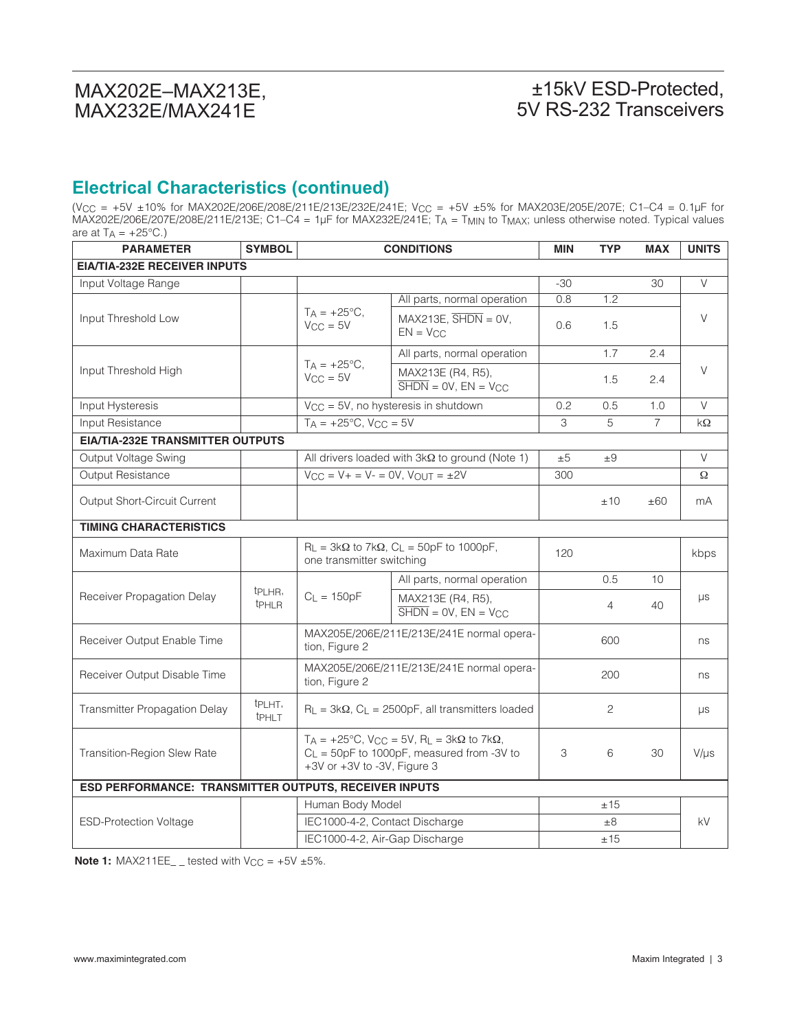### ±15kV ESD-Protected, 5V RS-232 Transceivers

## **Electrical Characteristics (continued)**

(VCC = +5V ±10% for MAX202E/206E/208E/211E/213E/232E/241E; VCC = +5V ±5% for MAX203E/205E/207E; C1–C4 = 0.1µF for MAX202E/206E/207E/208E/211E/213E; C1–C4 = 1µF for MAX232E/241E; TA = TMIN to TMAX; unless otherwise noted. Typical values are at  $TA = +25^{\circ}C$ .)

| <b>PARAMETER</b>                                      | <b>SYMBOL</b>                        | <b>CONDITIONS</b>                                                                                                                                      |                                                                                   | <b>MIN</b> | <b>TYP</b>     | <b>MAX</b>     | <b>UNITS</b> |  |
|-------------------------------------------------------|--------------------------------------|--------------------------------------------------------------------------------------------------------------------------------------------------------|-----------------------------------------------------------------------------------|------------|----------------|----------------|--------------|--|
| <b>EIA/TIA-232E RECEIVER INPUTS</b>                   |                                      |                                                                                                                                                        |                                                                                   |            |                |                |              |  |
| Input Voltage Range                                   |                                      |                                                                                                                                                        |                                                                                   | $-30$      |                | 30             | V            |  |
| Input Threshold Low                                   |                                      |                                                                                                                                                        | All parts, normal operation                                                       | 0.8        | 1.2            |                |              |  |
|                                                       |                                      | $T_A = +25$ °C,<br>$V_{CC} = 5V$                                                                                                                       | $MAX213E$ , $\overline{SHDN} = 0V$ ,<br>$EN = V_{CC}$                             | 0.6        | 1.5            |                | $\vee$       |  |
|                                                       |                                      |                                                                                                                                                        | All parts, normal operation                                                       |            | 1.7            | 2.4            |              |  |
| Input Threshold High                                  |                                      | $T_A = +25^{\circ}C,$<br>$V_{CC} = 5V$                                                                                                                 | MAX213E (R4, R5),<br>$\overline{\text{SHDN}} = \text{OV}, \text{EN} = \text{VCC}$ |            | 1.5            | 2.4            | V            |  |
| Input Hysteresis                                      |                                      |                                                                                                                                                        | V <sub>CC</sub> = 5V, no hysteresis in shutdown                                   | 0.2        | 0.5            | 1.0            | $\vee$       |  |
| Input Resistance                                      |                                      | $T_A = +25^{\circ}C$ , $V_{CC} = 5V$                                                                                                                   |                                                                                   | 3          | 5              | $\overline{7}$ | kΩ           |  |
| <b>EIA/TIA-232E TRANSMITTER OUTPUTS</b>               |                                      |                                                                                                                                                        |                                                                                   |            |                |                |              |  |
| Output Voltage Swing                                  |                                      |                                                                                                                                                        | All drivers loaded with $3k\Omega$ to ground (Note 1)                             | ±5         | $\pm 9$        |                | $\vee$       |  |
| Output Resistance                                     |                                      | $V_{CC} = V + = V - = 0V$ , $V_{OUT} = \pm 2V$                                                                                                         |                                                                                   | 300        |                |                | Ω            |  |
| Output Short-Circuit Current                          |                                      |                                                                                                                                                        |                                                                                   |            | ±10            | ±60            | mA           |  |
| <b>TIMING CHARACTERISTICS</b>                         |                                      |                                                                                                                                                        |                                                                                   |            |                |                |              |  |
| Maximum Data Rate                                     |                                      | one transmitter switching                                                                                                                              | $R_L$ = 3k $\Omega$ to 7k $\Omega$ , C <sub>L</sub> = 50pF to 1000pF,             | 120        |                |                | kbps         |  |
|                                                       |                                      |                                                                                                                                                        | All parts, normal operation                                                       |            | 0.5            | 10             |              |  |
| Receiver Propagation Delay                            | tp <sub>LHR</sub> ,<br><b>t</b> PHLR | $C_{L} = 150pF$                                                                                                                                        | MAX213E (R4, R5),<br>$\overline{\text{SHDN}} = \text{OV}, \text{EN} = \text{VCC}$ |            | $\overline{4}$ | 40             | $\mu s$      |  |
| Receiver Output Enable Time                           |                                      | MAX205E/206E/211E/213E/241E normal opera-<br>tion, Figure 2                                                                                            |                                                                                   |            | 600            |                | ns           |  |
| Receiver Output Disable Time                          |                                      | MAX205E/206E/211E/213E/241E normal opera-<br>tion, Figure 2                                                                                            |                                                                                   |            | 200            |                | ns           |  |
| <b>Transmitter Propagation Delay</b>                  | t <sub>PLHT</sub> ,<br><b>tPHLT</b>  |                                                                                                                                                        | $R_L = 3k\Omega$ , $C_L = 2500pF$ , all transmitters loaded                       |            | $\mathbf{2}$   |                | μs           |  |
| Transition-Region Slew Rate                           |                                      | $T_A = +25^{\circ}C$ , $V_{CC} = 5V$ , $R_L = 3k\Omega$ to $7k\Omega$ ,<br>$C_L$ = 50pF to 1000pF, measured from -3V to<br>+3V or +3V to -3V, Figure 3 |                                                                                   | 3          | 6              | 30             | $V/\mu s$    |  |
| ESD PERFORMANCE: TRANSMITTER OUTPUTS, RECEIVER INPUTS |                                      |                                                                                                                                                        |                                                                                   |            |                |                |              |  |
|                                                       |                                      | Human Body Model                                                                                                                                       |                                                                                   |            | ±15            |                |              |  |
| <b>ESD-Protection Voltage</b>                         |                                      | IEC1000-4-2, Contact Discharge                                                                                                                         |                                                                                   |            | $\pm 8$        |                | kV           |  |
|                                                       |                                      | IEC1000-4-2, Air-Gap Discharge                                                                                                                         |                                                                                   |            | ±15            |                |              |  |

**Note 1:** MAX211EE\_ \_ tested with  $V_{CC} = +5V \pm 5\%$ .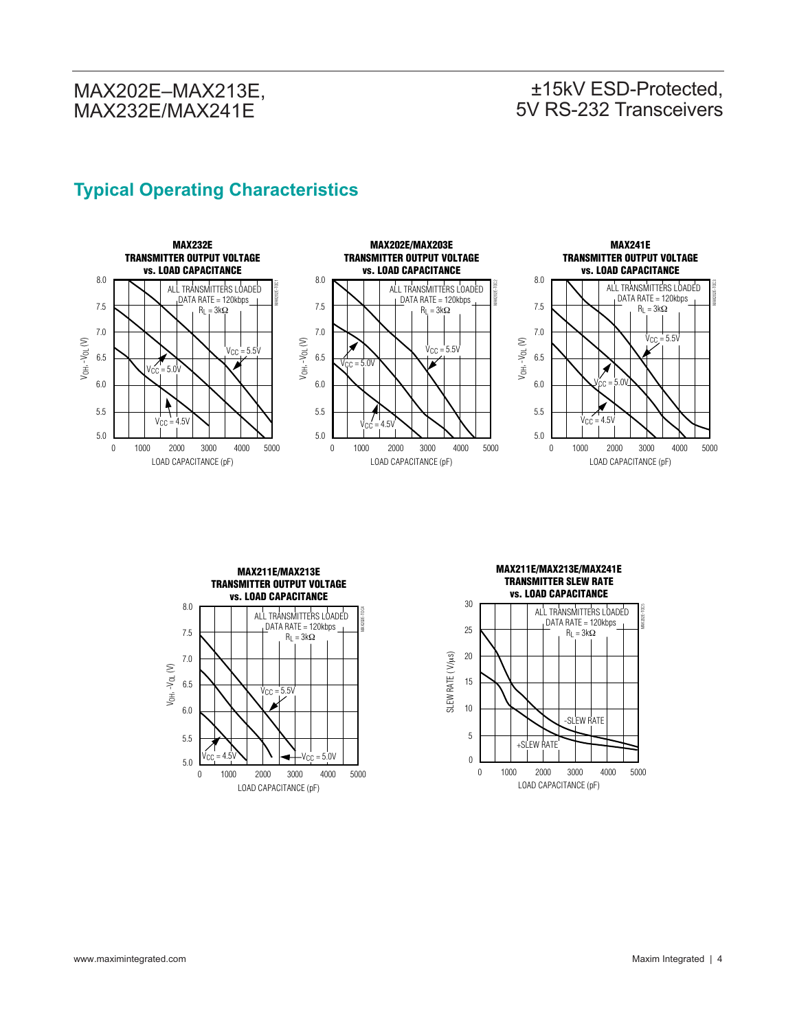# ±15kV ESD-Protected, 5V RS-232 Transceivers

# **Typical Operating Characteristics**











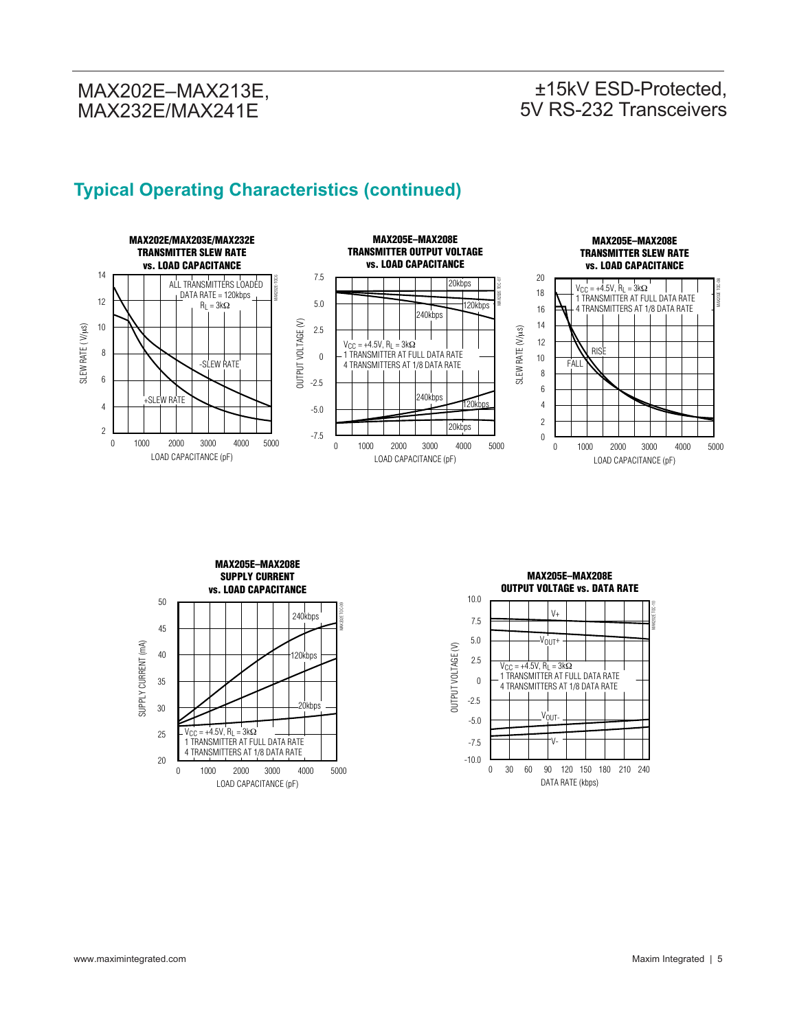### ±15kV ESD-Protected, 5V RS-232 Transceivers

# **Typical Operating Characteristics (continued)**





**MAX205E–MAX208E OUTPUT VOLTAGE vs. DATA RATE** 10.0 MAX202E TOC-10  $V_{+}$ 7.5 5.0  $V_{\text{OUT}}$ OUTPUT VOLTAGE (V) OUTPUT VOLTAGE (V) 2.5  $V_{\text{CC}} = +4.5V$ ,  $R_{\text{L}} = 3k\Omega$  1 TRANSMITTER AT FULL DATA RATE 0 4 TRANSMITTERS AT 1/8 DATA RATE -2.5 VOUT--5.0 -7.5 V--10.0 0 180 30 90 210 60 120 240 150 DATA RATE (kbps)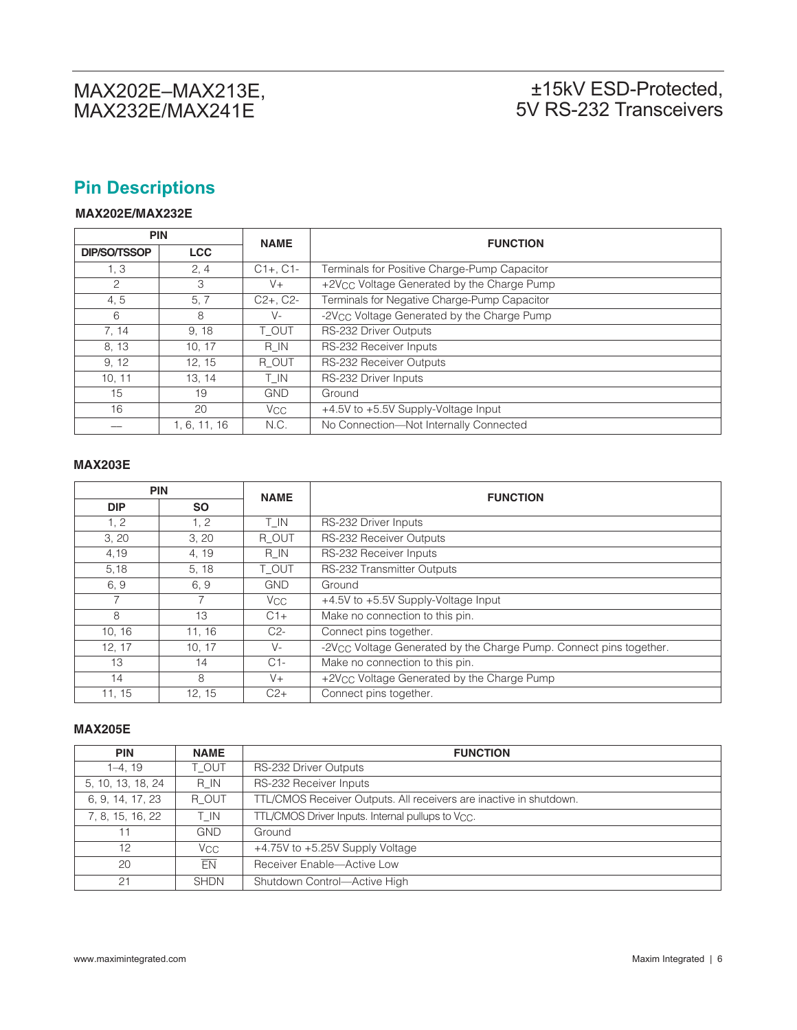# ±15kV ESD-Protected, 5V RS-232 Transceivers

# **Pin Descriptions**

#### **MAX202E/MAX232E**

| <b>PIN</b>          |            | <b>NAME</b>   | <b>FUNCTION</b>                                        |
|---------------------|------------|---------------|--------------------------------------------------------|
| <b>DIP/SO/TSSOP</b> | <b>LCC</b> |               |                                                        |
| 1, 3                | 2, 4       | $C1+$ , $C1-$ | Terminals for Positive Charge-Pump Capacitor           |
| 2                   | 3          | $V +$         | +2V <sub>CC</sub> Voltage Generated by the Charge Pump |
| 4, 5                | 5, 7       | $C2+$ , $C2-$ | Terminals for Negative Charge-Pump Capacitor           |
| 6                   | 8          | V-            | -2V <sub>CC</sub> Voltage Generated by the Charge Pump |
| 7, 14               | 9.18       | T OUT         | RS-232 Driver Outputs                                  |
| 8, 13               | 10, 17     | R IN          | RS-232 Receiver Inputs                                 |
| 9.12                | 12.15      | R OUT         | <b>RS-232 Receiver Outputs</b>                         |
| 10, 11              | 13, 14     | T IN          | RS-232 Driver Inputs                                   |
| 15                  | 19         | <b>GND</b>    | Ground                                                 |
| 16                  | 20         | Vcc.          | +4.5V to +5.5V Supply-Voltage Input                    |
|                     | 1.6.11.16  | N.C.          | No Connection-Not Internally Connected                 |

#### **MAX203E**

| <b>PIN</b> |           | <b>NAME</b>  | <b>FUNCTION</b>                                                                |
|------------|-----------|--------------|--------------------------------------------------------------------------------|
| <b>DIP</b> | <b>SO</b> |              |                                                                                |
| 1, 2       | 1, 2      | T IN         | RS-232 Driver Inputs                                                           |
| 3, 20      | 3, 20     | R OUT        | RS-232 Receiver Outputs                                                        |
| 4,19       | 4, 19     | R IN         | RS-232 Receiver Inputs                                                         |
| 5,18       | 5, 18     | T OUT        | RS-232 Transmitter Outputs                                                     |
| 6.9        | 6, 9      | <b>GND</b>   | Ground                                                                         |
|            |           | $V_{\rm CC}$ | +4.5V to +5.5V Supply-Voltage Input                                            |
| 8          | 13        | $C1+$        | Make no connection to this pin.                                                |
| 10.16      | 11.16     | $C2-$        | Connect pins together.                                                         |
| 12, 17     | 10, 17    | $V -$        | -2V <sub>CC</sub> Voltage Generated by the Charge Pump. Connect pins together. |
| 13         | 14        | $C1-$        | Make no connection to this pin.                                                |
| 14         | 8         | $V +$        | +2V <sub>CC</sub> Voltage Generated by the Charge Pump                         |
| 11.15      | 12.15     | $C2+$        | Connect pins together.                                                         |

#### **MAX205E**

| <b>PIN</b>        | <b>NAME</b>           | <b>FUNCTION</b>                                                    |
|-------------------|-----------------------|--------------------------------------------------------------------|
| $1-4, 19$         | T OUT                 | RS-232 Driver Outputs                                              |
| 5, 10, 13, 18, 24 | R IN                  | RS-232 Receiver Inputs                                             |
| 6, 9, 14, 17, 23  | R OUT                 | TTL/CMOS Receiver Outputs. All receivers are inactive in shutdown. |
| 7, 8, 15, 16, 22  | T IN                  | TTL/CMOS Driver Inputs. Internal pullups to V <sub>CC</sub> .      |
| 11                | <b>GND</b>            | Ground                                                             |
| 12                | <b>V<sub>CC</sub></b> | +4.75V to +5.25V Supply Voltage                                    |
| 20                | FN                    | Receiver Enable-Active Low                                         |
| 21                | <b>SHDN</b>           | Shutdown Control-Active High                                       |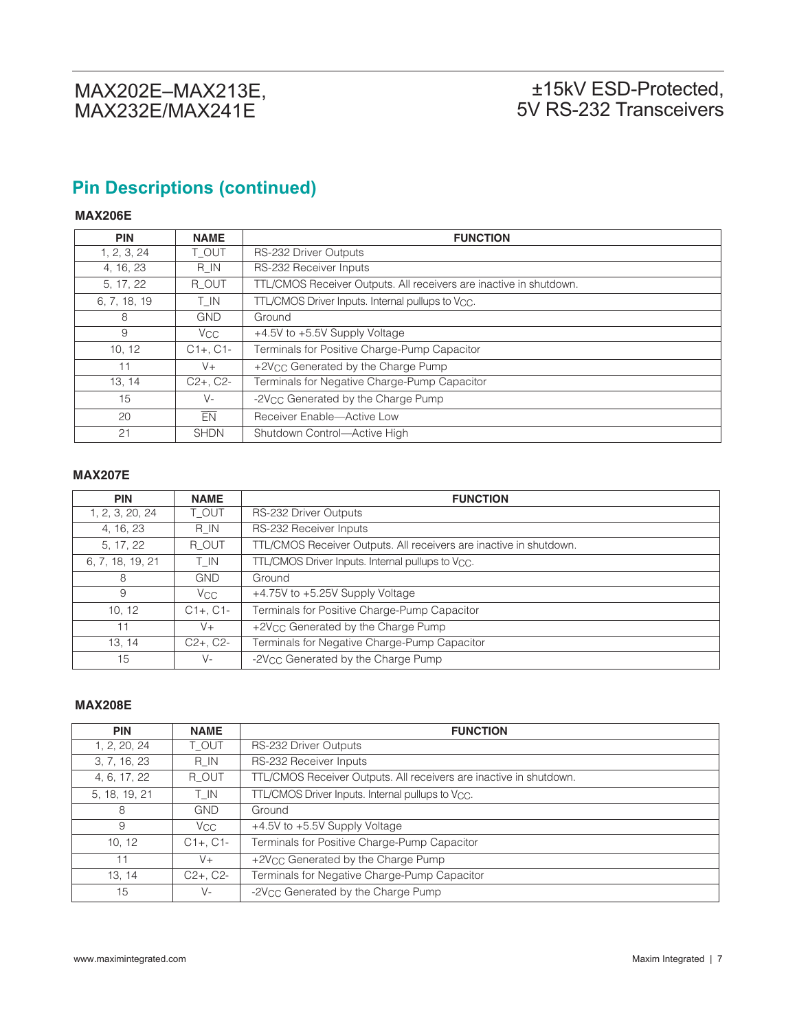# **Pin Descriptions (continued)**

#### **MAX206E**

| <b>PIN</b>   | <b>NAME</b>   | <b>FUNCTION</b>                                                    |
|--------------|---------------|--------------------------------------------------------------------|
| 1, 2, 3, 24  | T OUT         | RS-232 Driver Outputs                                              |
| 4, 16, 23    | R IN          | RS-232 Receiver Inputs                                             |
| 5, 17, 22    | R OUT         | TTL/CMOS Receiver Outputs. All receivers are inactive in shutdown. |
| 6, 7, 18, 19 | T IN          | TTL/CMOS Driver Inputs. Internal pullups to V <sub>CC</sub> .      |
| 8            | <b>GND</b>    | Ground                                                             |
| 9            | $V_{\rm CC}$  | +4.5V to +5.5V Supply Voltage                                      |
| 10, 12       | $C1+$ , $C1-$ | Terminals for Positive Charge-Pump Capacitor                       |
| 11           | $V +$         | +2V <sub>CC</sub> Generated by the Charge Pump                     |
| 13, 14       | $C2+$ , $C2-$ | Terminals for Negative Charge-Pump Capacitor                       |
| 15           | $V -$         | -2V <sub>CC</sub> Generated by the Charge Pump                     |
| 20           | EN            | Receiver Enable-Active Low                                         |
| 21           | <b>SHDN</b>   | Shutdown Control-Active High                                       |

#### **MAX207E**

| <b>PIN</b>       | <b>NAME</b>     | <b>FUNCTION</b>                                                    |
|------------------|-----------------|--------------------------------------------------------------------|
| 1, 2, 3, 20, 24  | T OUT           | RS-232 Driver Outputs                                              |
| 4, 16, 23        | R IN            | RS-232 Receiver Inputs                                             |
| 5, 17, 22        | R OUT           | TTL/CMOS Receiver Outputs. All receivers are inactive in shutdown. |
| 6, 7, 18, 19, 21 | T IN            | TTL/CMOS Driver Inputs. Internal pullups to Vcc.                   |
| 8                | <b>GND</b>      | Ground                                                             |
| 9                | V <sub>CC</sub> | +4.75V to +5.25V Supply Voltage                                    |
| 10, 12           | $C1+$ , $C1-$   | Terminals for Positive Charge-Pump Capacitor                       |
| 11               | $V +$           | +2V <sub>CC</sub> Generated by the Charge Pump                     |
| 13, 14           | $C2+$ , $C2-$   | Terminals for Negative Charge-Pump Capacitor                       |
| 15               | $V -$           | -2V <sub>CC</sub> Generated by the Charge Pump                     |

#### **MAX208E**

| <b>PIN</b>    | <b>NAME</b>     | <b>FUNCTION</b>                                                    |
|---------------|-----------------|--------------------------------------------------------------------|
| 1, 2, 20, 24  | T OUT           | RS-232 Driver Outputs                                              |
| 3, 7, 16, 23  | R IN            | RS-232 Receiver Inputs                                             |
| 4, 6, 17, 22  | R OUT           | TTL/CMOS Receiver Outputs. All receivers are inactive in shutdown. |
| 5, 18, 19, 21 | T IN            | TTL/CMOS Driver Inputs. Internal pullups to V <sub>CC</sub> .      |
| 8             | <b>GND</b>      | Ground                                                             |
| 9             | V <sub>CC</sub> | +4.5V to +5.5V Supply Voltage                                      |
| 10, 12        | $C1+$ , $C1-$   | Terminals for Positive Charge-Pump Capacitor                       |
| 11            | V+              | +2V <sub>CC</sub> Generated by the Charge Pump                     |
| 13, 14        | $C2+$ , $C2-$   | Terminals for Negative Charge-Pump Capacitor                       |
| 15            | $V -$           | -2V <sub>CC</sub> Generated by the Charge Pump                     |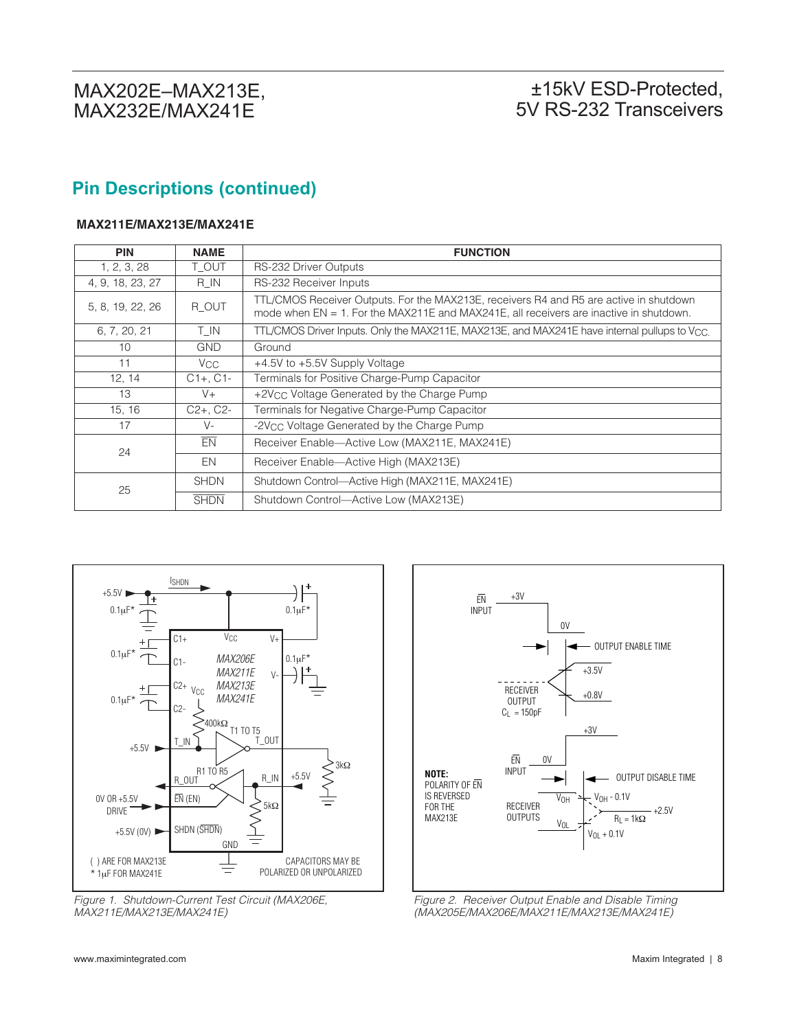# **Pin Descriptions (continued)**

#### **MAX211E/MAX213E/MAX241E**

| <b>PIN</b>       | <b>NAME</b>     | <b>FUNCTION</b>                                                                                                                                                                  |
|------------------|-----------------|----------------------------------------------------------------------------------------------------------------------------------------------------------------------------------|
| 1, 2, 3, 28      | T OUT           | <b>RS-232 Driver Outputs</b>                                                                                                                                                     |
| 4, 9, 18, 23, 27 | R IN            | RS-232 Receiver Inputs                                                                                                                                                           |
| 5, 8, 19, 22, 26 | R OUT           | TTL/CMOS Receiver Outputs. For the MAX213E, receivers R4 and R5 are active in shutdown<br>mode when EN = 1. For the MAX211E and MAX241E, all receivers are inactive in shutdown. |
| 6, 7, 20, 21     | T IN            | TTL/CMOS Driver Inputs. Only the MAX211E, MAX213E, and MAX241E have internal pullups to V <sub>CC.</sub>                                                                         |
| 10               | <b>GND</b>      | Ground                                                                                                                                                                           |
| 11               | V <sub>CC</sub> | +4.5V to +5.5V Supply Voltage                                                                                                                                                    |
| 12, 14           | $C1+$ , $C1-$   | Terminals for Positive Charge-Pump Capacitor                                                                                                                                     |
| 13               | $V +$           | +2V <sub>CC</sub> Voltage Generated by the Charge Pump                                                                                                                           |
| 15, 16           | $C2+$ , $C2-$   | Terminals for Negative Charge-Pump Capacitor                                                                                                                                     |
| 17               | $V -$           | -2V <sub>CC</sub> Voltage Generated by the Charge Pump                                                                                                                           |
| 24               | EN              | Receiver Enable-Active Low (MAX211E, MAX241E)                                                                                                                                    |
|                  | EN              | Receiver Enable—Active High (MAX213E)                                                                                                                                            |
| 25               | <b>SHDN</b>     | Shutdown Control-Active High (MAX211E, MAX241E)                                                                                                                                  |
|                  | <b>SHDN</b>     | Shutdown Control-Active Low (MAX213E)                                                                                                                                            |



Figure 1. Shutdown-Current Test Circuit (MAX206E, MAX211E/MAX213E/MAX241E)



Figure 2. Receiver Output Enable and Disable Timing (MAX205E/MAX206E/MAX211E/MAX213E/MAX241E)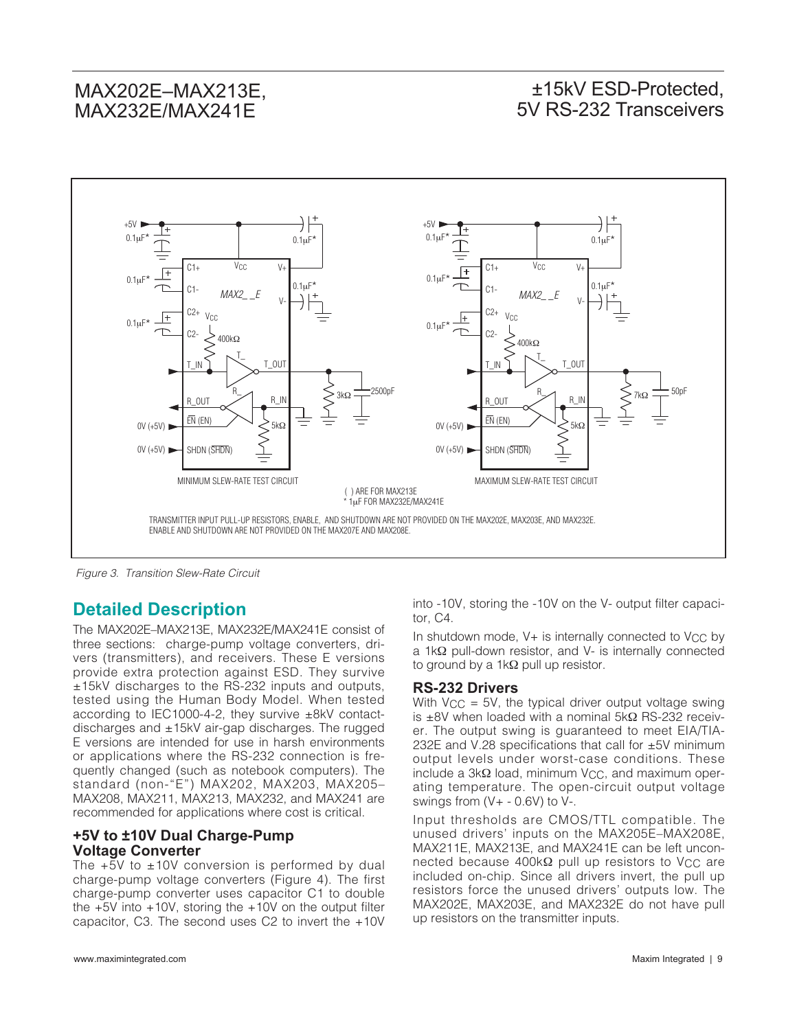### ±15kV ESD-Protected, 5V RS-232 Transceivers



Figure 3. Transition Slew-Rate Circuit

#### **Detailed Description**

The MAX202E–MAX213E, MAX232E/MAX241E consist of three sections: charge-pump voltage converters, drivers (transmitters), and receivers. These E versions provide extra protection against ESD. They survive ±15kV discharges to the RS-232 inputs and outputs, tested using the Human Body Model. When tested according to IEC1000-4-2, they survive ±8kV contactdischarges and ±15kV air-gap discharges. The rugged E versions are intended for use in harsh environments or applications where the RS-232 connection is frequently changed (such as notebook computers). The standard (non-"E") MAX202, MAX203, MAX205– MAX208, MAX211, MAX213, MAX232, and MAX241 are recommended for applications where cost is critical.

#### **+5V to ±10V Dual Charge-Pump Voltage Converter**

The  $+5V$  to  $\pm 10V$  conversion is performed by dual charge-pump voltage converters (Figure 4). The first charge-pump converter uses capacitor C1 to double the  $+5V$  into  $+10V$ , storing the  $+10V$  on the output filter capacitor, C3. The second uses C2 to invert the +10V into -10V, storing the -10V on the V- output filter capacitor, C4.

In shutdown mode,  $V+$  is internally connected to  $V_{CC}$  by a 1kΩ pull-down resistor, and V- is internally connected to ground by a 1kΩ pull up resistor.

#### **RS-232 Drivers**

With  $V_{CC} = 5V$ , the typical driver output voltage swing is ±8V when loaded with a nominal 5kΩ RS-232 receiver. The output swing is guaranteed to meet EIA/TIA-232E and V.28 specifications that call for ±5V minimum output levels under worst-case conditions. These include a  $3kΩ$  load, minimum V<sub>CC</sub>, and maximum operating temperature. The open-circuit output voltage swings from  $(V + -0.6V)$  to  $V -$ .

Input thresholds are CMOS/TTL compatible. The unused drivers' inputs on the MAX205E–MAX208E, MAX211E, MAX213E, and MAX241E can be left unconnected because 400kΩ pull up resistors to V<sub>CC</sub> are included on-chip. Since all drivers invert, the pull up resistors force the unused drivers' outputs low. The MAX202E, MAX203E, and MAX232E do not have pull up resistors on the transmitter inputs.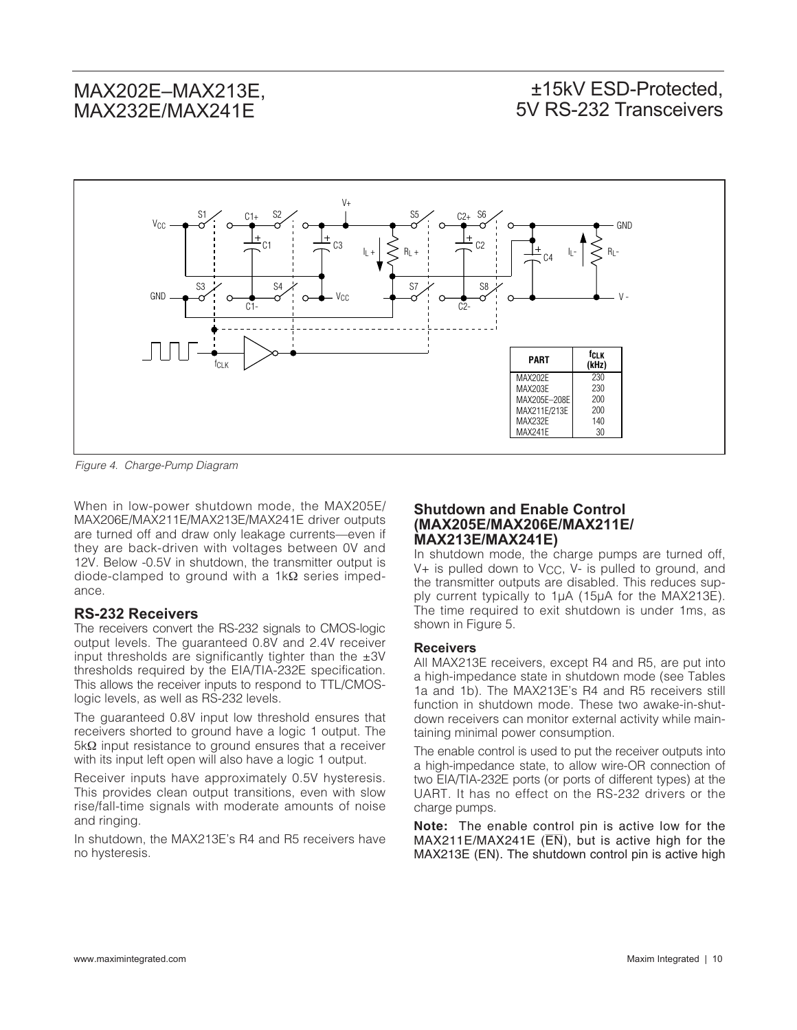### ±15kV ESD-Protected, 5V RS-232 Transceivers



Figure 4. Charge-Pump Diagram

When in low-power shutdown mode, the MAX205E/ MAX206E/MAX211E/MAX213E/MAX241E driver outputs are turned off and draw only leakage currents—even if they are back-driven with voltages between 0V and 12V. Below -0.5V in shutdown, the transmitter output is diode-clamped to ground with a 1kΩ series impedance.

#### **RS-232 Receivers**

The receivers convert the RS-232 signals to CMOS-logic output levels. The guaranteed 0.8V and 2.4V receiver input thresholds are significantly tighter than the  $\pm 3V$ thresholds required by the EIA/TIA-232E specification. This allows the receiver inputs to respond to TTL/CMOSlogic levels, as well as RS-232 levels.

The guaranteed 0.8V input low threshold ensures that receivers shorted to ground have a logic 1 output. The 5kΩ input resistance to ground ensures that a receiver with its input left open will also have a logic 1 output.

Receiver inputs have approximately 0.5V hysteresis. This provides clean output transitions, even with slow rise/fall-time signals with moderate amounts of noise and ringing.

In shutdown, the MAX213E's R4 and R5 receivers have no hysteresis.

#### **Shutdown and Enable Control (MAX205E/MAX206E/MAX211E/ MAX213E/MAX241E)**

In shutdown mode, the charge pumps are turned off,  $V+$  is pulled down to  $V_{CC}$ ,  $V-$  is pulled to ground, and the transmitter outputs are disabled. This reduces supply current typically to 1µA (15µA for the MAX213E). The time required to exit shutdown is under 1ms, as shown in Figure 5.

#### **Receivers**

All MAX213E receivers, except R4 and R5, are put into a high-impedance state in shutdown mode (see Tables 1a and 1b). The MAX213E's R4 and R5 receivers still function in shutdown mode. These two awake-in-shutdown receivers can monitor external activity while maintaining minimal power consumption.

The enable control is used to put the receiver outputs into a high-impedance state, to allow wire-OR connection of two EIA/TIA-232E ports (or ports of different types) at the UART. It has no effect on the RS-232 drivers or the charge pumps.

**Note:** The enable control pin is active low for the  $MAX211E/MAX241E$  ( $\overline{EN}$ ), but is active high for the MAX213E (EN). The shutdown control pin is active high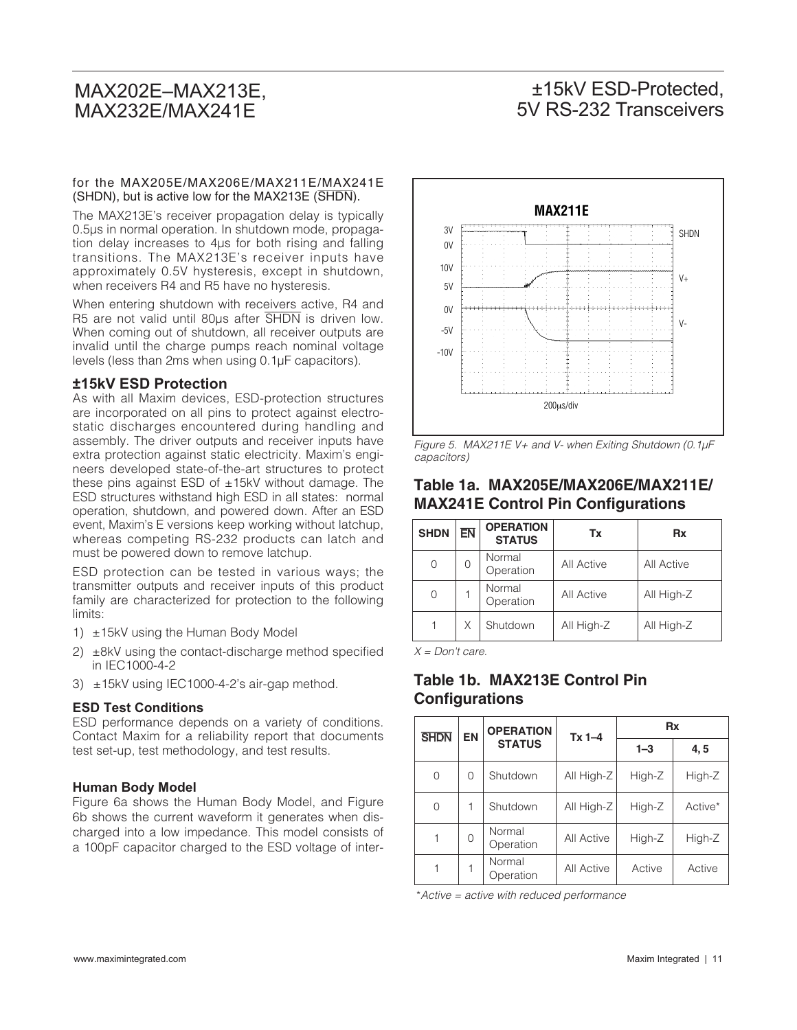### ±15kV ESD-Protected, 5V RS-232 Transceivers

#### for the MAX205E/MAX206E/MAX211E/MAX241E (SHDN), but is active low for the MAX213E (SHDN).

The MAX213E's receiver propagation delay is typically 0.5µs in normal operation. In shutdown mode, propagation delay increases to 4µs for both rising and falling transitions. The MAX213E's receiver inputs have approximately 0.5V hysteresis, except in shutdown, when receivers R4 and R5 have no hysteresis.

When entering shutdown with receivers active, R4 and R5 are not valid until 80ps after SHDN is driven low. When coming out of shutdown, all receiver outputs are invalid until the charge pumps reach nominal voltage levels (less than 2ms when using 0.1µF capacitors).

#### **±15kV ESD Protection**

As with all Maxim devices, ESD-protection structures are incorporated on all pins to protect against electrostatic discharges encountered during handling and assembly. The driver outputs and receiver inputs have extra protection against static electricity. Maxim's engineers developed state-of-the-art structures to protect these pins against ESD of  $\pm$ 15kV without damage. The ESD structures withstand high ESD in all states: normal operation, shutdown, and powered down. After an ESD event, Maxim's E versions keep working without latchup, whereas competing RS-232 products can latch and must be powered down to remove latchup.

ESD protection can be tested in various ways; the transmitter outputs and receiver inputs of this product family are characterized for protection to the following limits:

- 1)  $\pm$ 15kV using the Human Body Model
- 2) ±8kV using the contact-discharge method specified in IEC1000-4-2
- 3) ±15kV using IEC1000-4-2's air-gap method.

#### **ESD Test Conditions**

ESD performance depends on a variety of conditions. Contact Maxim for a reliability report that documents test set-up, test methodology, and test results.

#### **Human Body Model**

Figure 6a shows the Human Body Model, and Figure 6b shows the current waveform it generates when discharged into a low impedance. This model consists of a 100pF capacitor charged to the ESD voltage of inter-



Figure 5. MAX211E V+ and V- when Exiting Shutdown (0.1µF capacitors)

#### **Table 1a. MAX205E/MAX206E/MAX211E/ MAX241E Control Pin Configurations**

| <b>SHDN</b> | <b>EN</b> | <b>OPERATION</b><br><b>STATUS</b> | Tx         | Rx         |
|-------------|-----------|-----------------------------------|------------|------------|
|             | Ω         | Normal<br>Operation               | All Active | All Active |
| ∩           |           | Normal<br>Operation               | All Active | All High-Z |
|             | X         | Shutdown                          | All High-Z | All High-Z |

 $X = Don't care.$ 

#### **Table 1b. MAX213E Control Pin Configurations**

| <b>SHDN</b> | <b>EN</b> | <b>OPERATION</b>    | $Tx 1 - 4$ |         | <b>Rx</b> |
|-------------|-----------|---------------------|------------|---------|-----------|
|             |           | <b>STATUS</b>       |            | $1 - 3$ | 4, 5      |
| 0           | 0         | Shutdown            | All High-Z | High-Z  | High-Z    |
| $\Omega$    |           | Shutdown            | All High-Z | High-Z  | Active*   |
|             | 0         | Normal<br>Operation | All Active | High-Z  | High-Z    |
|             |           | Normal<br>Operation | All Active | Active  | Active    |

\*Active = active with reduced performance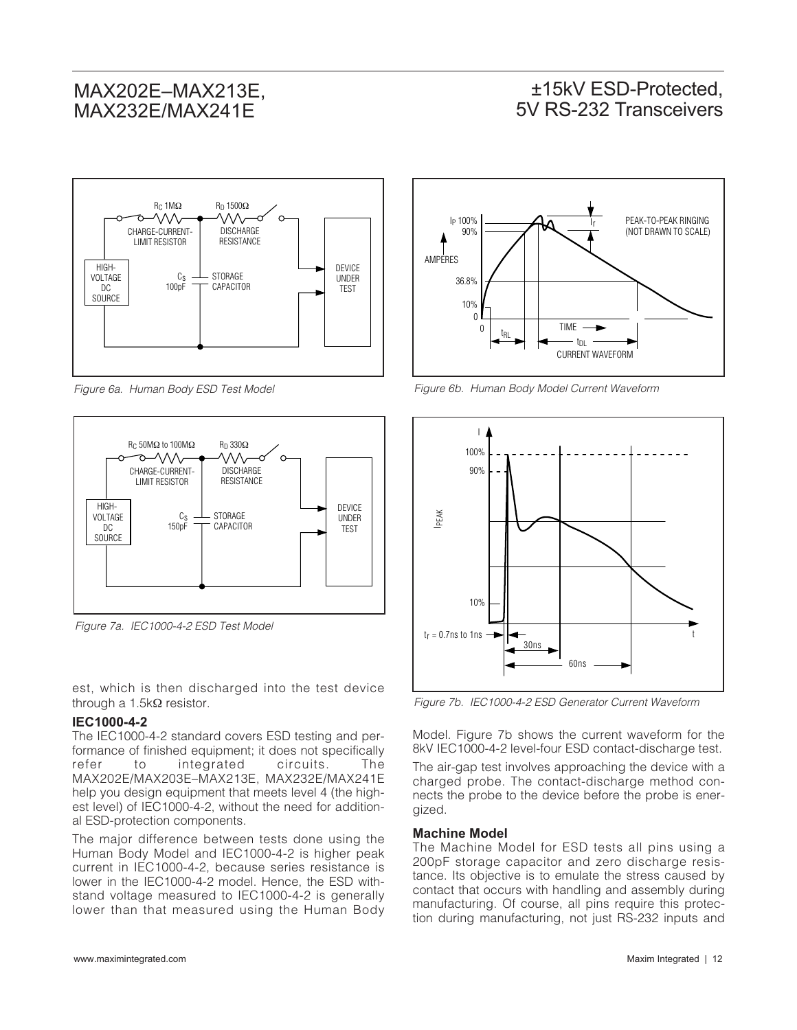### ±15kV ESD-Protected, 5V RS-232 Transceivers



Figure 6a. Human Body ESD Test Model



Figure 7a. IEC1000-4-2 ESD Test Model  $t_r = 0.7$ ns to 1ns  $\rightarrow$ 

est, which is then discharged into the test device through a 1.5kΩ resistor.

#### **IEC1000-4-2**

The IEC1000-4-2 standard covers ESD testing and performance of finished equipment; it does not specifically refer to integrated circuits. The MAX202E/MAX203E–MAX213E, MAX232E/MAX241E help you design equipment that meets level 4 (the highest level) of IEC1000-4-2, without the need for additional ESD-protection components.

The major difference between tests done using the Human Body Model and IEC1000-4-2 is higher peak current in IEC1000-4-2, because series resistance is lower in the IEC1000-4-2 model. Hence, the ESD withstand voltage measured to IEC1000-4-2 is generally lower than that measured using the Human Body



Figure 6b. Human Body Model Current Waveform



Figure 7b. IEC1000-4-2 ESD Generator Current Waveform

Model. Figure 7b shows the current waveform for the 8kV IEC1000-4-2 level-four ESD contact-discharge test.

The air-gap test involves approaching the device with a charged probe. The contact-discharge method connects the probe to the device before the probe is energized.

#### **Machine Model**

The Machine Model for ESD tests all pins using a 200pF storage capacitor and zero discharge resistance. Its objective is to emulate the stress caused by contact that occurs with handling and assembly during manufacturing. Of course, all pins require this protection during manufacturing, not just RS-232 inputs and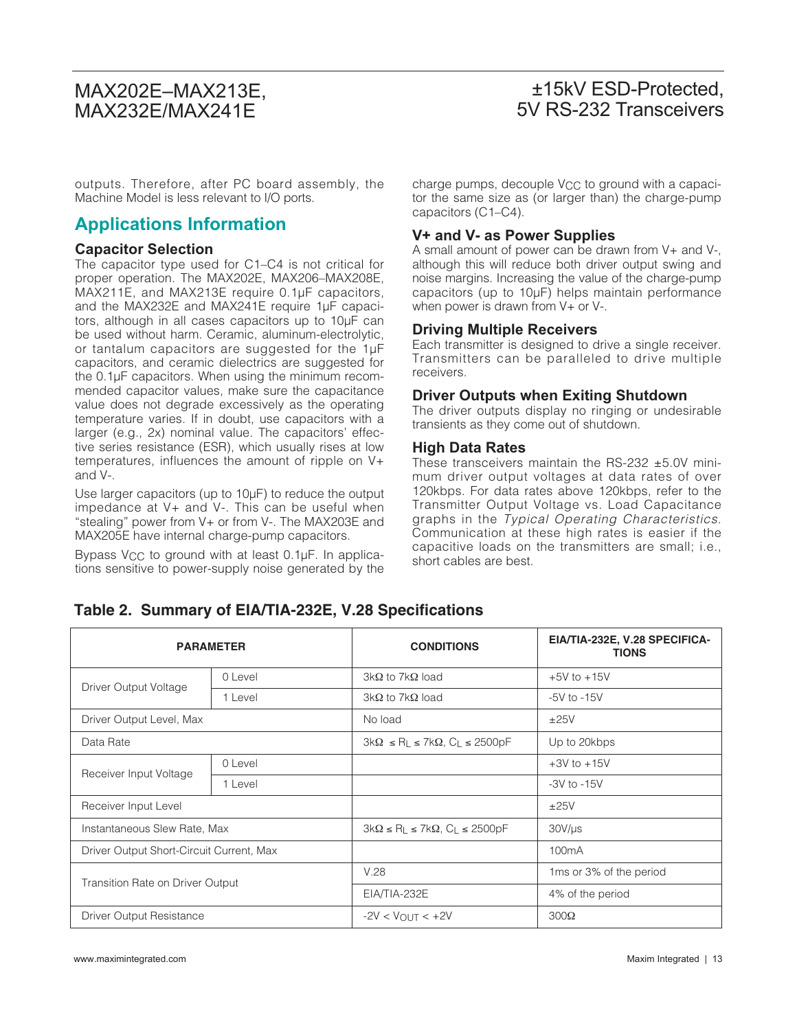### ±15kV ESD-Protected, 5V RS-232 Transceivers

outputs. Therefore, after PC board assembly, the Machine Model is less relevant to I/O ports.

#### **Applications Information**

#### **Capacitor Selection**

The capacitor type used for C1–C4 is not critical for proper operation. The MAX202E, MAX206–MAX208E, MAX211E, and MAX213E require 0.1µF capacitors, and the MAX232E and MAX241E require 1µF capacitors, although in all cases capacitors up to 10µF can be used without harm. Ceramic, aluminum-electrolytic, or tantalum capacitors are suggested for the 1µF capacitors, and ceramic dielectrics are suggested for the 0.1µF capacitors. When using the minimum recommended capacitor values, make sure the capacitance value does not degrade excessively as the operating temperature varies. If in doubt, use capacitors with a larger (e.g., 2x) nominal value. The capacitors' effective series resistance (ESR), which usually rises at low temperatures, influences the amount of ripple on V+ and V-.

Use larger capacitors (up to 10µF) to reduce the output impedance at V+ and V-. This can be useful when "stealing" power from V+ or from V-. The MAX203E and MAX205E have internal charge-pump capacitors.

Bypass  $V_{CC}$  to ground with at least 0.1 $\mu$ F. In applications sensitive to power-supply noise generated by the charge pumps, decouple V<sub>CC</sub> to ground with a capacitor the same size as (or larger than) the charge-pump capacitors (C1–C4).

#### **V+ and V- as Power Supplies**

A small amount of power can be drawn from V+ and V-, although this will reduce both driver output swing and noise margins. Increasing the value of the charge-pump capacitors (up to 10µF) helps maintain performance when power is drawn from V+ or V-.

#### **Driving Multiple Receivers**

Each transmitter is designed to drive a single receiver. Transmitters can be paralleled to drive multiple receivers.

#### **Driver Outputs when Exiting Shutdown**

The driver outputs display no ringing or undesirable transients as they come out of shutdown.

#### **High Data Rates**

These transceivers maintain the RS-232 ±5.0V minimum driver output voltages at data rates of over 120kbps. For data rates above 120kbps, refer to the Transmitter Output Voltage vs. Load Capacitance graphs in the Typical Operating Characteristics. Communication at these high rates is easier if the capacitive loads on the transmitters are small; i.e., short cables are best.

|  | Table 2. Summary of EIA/TIA-232E, V.28 Specifications |  |  |
|--|-------------------------------------------------------|--|--|
|--|-------------------------------------------------------|--|--|

| <b>PARAMETER</b>                         |         | <b>CONDITIONS</b>                                  | EIA/TIA-232E, V.28 SPECIFICA-<br><b>TIONS</b> |
|------------------------------------------|---------|----------------------------------------------------|-----------------------------------------------|
| Driver Output Voltage                    | 0 Level | $3k\Omega$ to 7k $\Omega$ load                     | $+5V$ to $+15V$                               |
|                                          | 1 Level | $3k\Omega$ to 7k $\Omega$ load                     | $-5V$ to $-15V$                               |
| Driver Output Level, Max                 |         | No load                                            | ±25V                                          |
| Data Rate                                |         | $3k\Omega \le R_L \le 7k\Omega$ , $C_L \le 2500pF$ | Up to 20kbps                                  |
| Receiver Input Voltage                   | 0 Level |                                                    | $+3V$ to $+15V$                               |
|                                          | 1 Level |                                                    | $-3V$ to $-15V$                               |
| Receiver Input Level                     |         |                                                    | ±25V                                          |
| Instantaneous Slew Rate, Max             |         | $3k\Omega \le R_L \le 7k\Omega$ , $C_L \le 2500pF$ | $30V/\mu s$                                   |
| Driver Output Short-Circuit Current, Max |         |                                                    | 100mA                                         |
| Transition Rate on Driver Output         |         | V.28                                               | 1 ms or 3% of the period                      |
|                                          |         | EIA/TIA-232E                                       | 4% of the period                              |
| Driver Output Resistance                 |         | $-2V < V_{\text{OUT}} < +2V$                       | $300\Omega$                                   |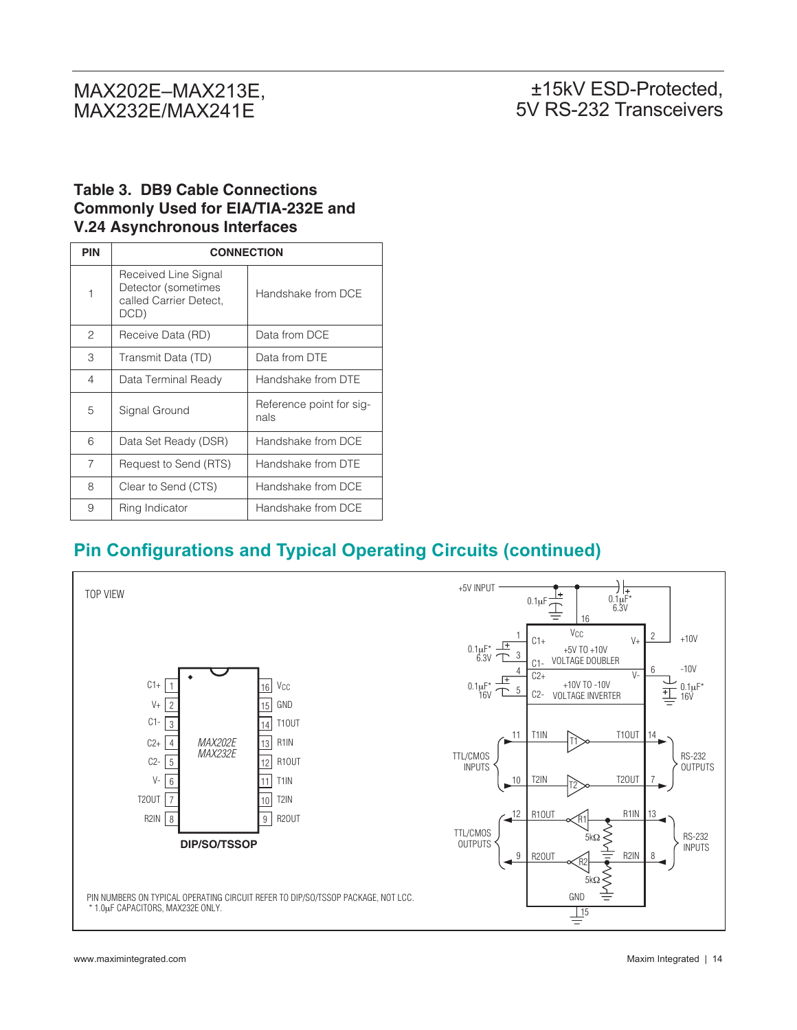#### **Table 3. DB9 Cable Connections Commonly Used for EIA/TIA-232E and V.24 Asynchronous Interfaces**

| <b>PIN</b>     | <b>CONNECTION</b>                                                             |                                  |  |
|----------------|-------------------------------------------------------------------------------|----------------------------------|--|
| 1              | Received Line Signal<br>Detector (sometimes<br>called Carrier Detect,<br>DCD) | Handshake from DCE               |  |
| 2              | Receive Data (RD)                                                             | Data from DCE                    |  |
| 3              | Transmit Data (TD)                                                            | Data from DTE                    |  |
| 4              | Data Terminal Ready                                                           | Handshake from DTE               |  |
| 5              | Signal Ground                                                                 | Reference point for sig-<br>nals |  |
| 6              | Data Set Ready (DSR)                                                          | Handshake from DCE               |  |
| $\overline{7}$ | Request to Send (RTS)                                                         | Handshake from DTF               |  |
| 8              | Clear to Send (CTS)                                                           | Handshake from DCF               |  |
| 9              | Ring Indicator                                                                | Handshake from DCE               |  |

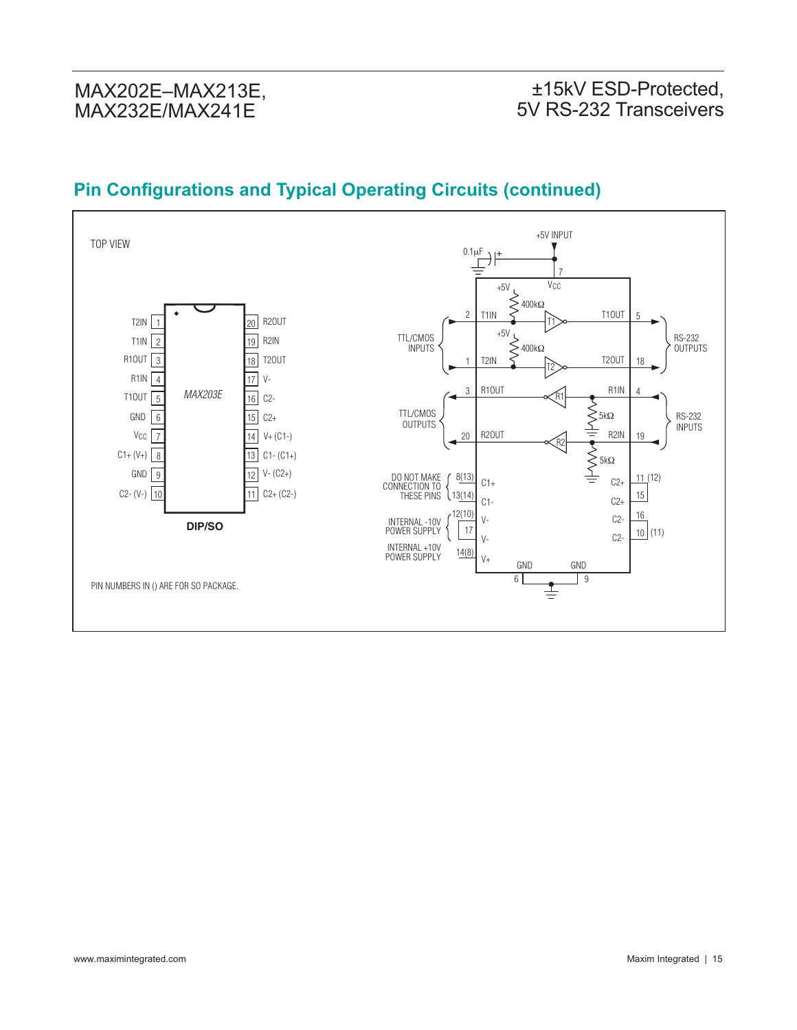### ±15kV ESD-Protected, 5V RS-232 Transceivers

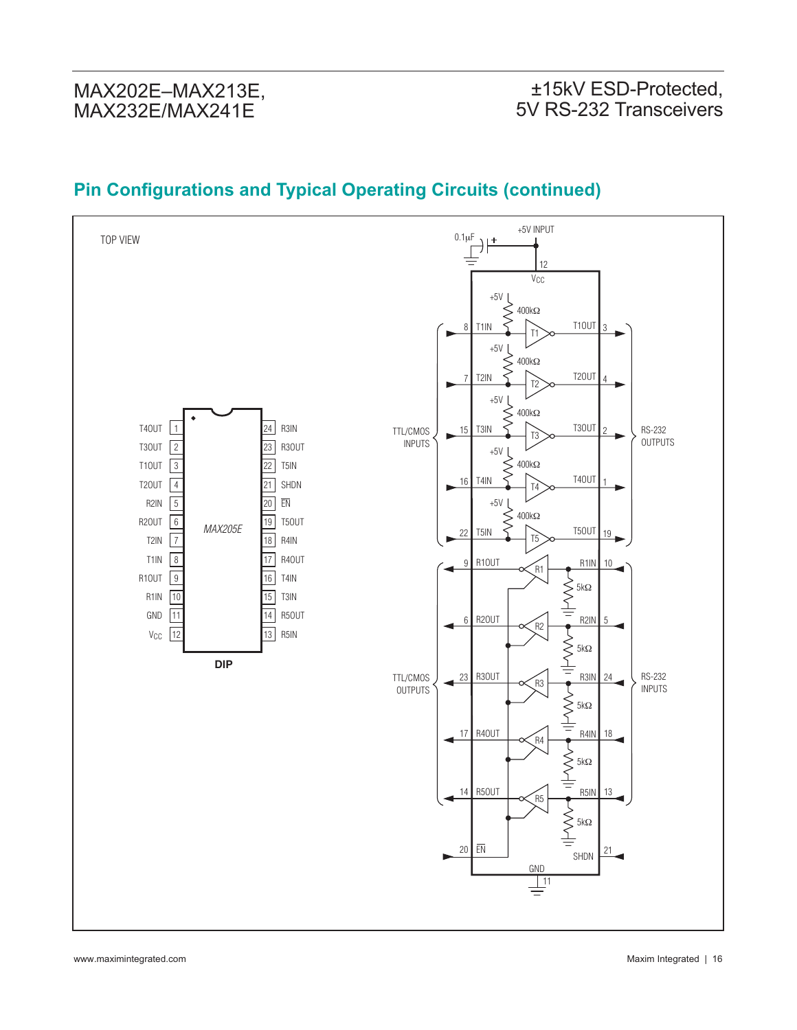#### +5V INPUT TOP VIEW 0.1μF $\frac{1}{2}$ 12 V<sub>CC</sub>  $+5V$ 400kΩ T1OUT 8  $\frac{1111}{11}$   $\frac{11001}{3}$  $+5V$ 400kΩ ξ T2OUT  $T2IN$   $T2$   $T2$   $T2OUT$   $4$ 7  $+5V$  $400kΩ$ T4OUT R3IN 1 24 TTL/CMOS RS-232 15  $\frac{131N}{13}$   $\frac{5}{13}$   $\frac{1300T}{2}$ INPUTS OUTPUTS T3OUT  $\overline{23}$ R3OUT 2  $+5V$ T1OUT 22 T5IN 400kΩ  $|<sub>3</sub>$ T4OUT  $\frac{141N}{14}$  1400111 T2OUT 4 16 21 SHDN R2IN +5V 5 20 EN 400kΩ R2OUT 6 19 T5OUT *MAX205E* T5OUT 22  $T5$  15 15 19 19 T2IN 7 18 R4IN T1IN 8 17 R4OUT  $R10UT \nightharpoonup R1$  R1IN 9 10 R1OUT  $\sqrt{9}$ 16 T4IN  $\sum_{P \in \mathcal{P}}$  5kΩ R1IN  $10$ 15 T3IN GND 11 14 R5OUT 6  $R20UT$   $R2 = R2IN$   $R20UT$   $R20UT$   $R20UT$   $R20UT$   $R20UT$   $R20UT$   $R20UT$   $R20UT$   $R20UT$   $R20UT$   $R20UT$ 5  $V_{CC}$  $|12$ 13 R5IN 5kΩ **DIP** 23 R30UT  $\sim$  R3IN RS-232 TTL/CMOS 24 INPUTS OUTPUTS  $\sum_{\mathsf{BAND}}$  5kΩ 17 R40UT  $\sim$  R4IN 18 ۰ R4  $\sum_{n=1}^{\infty}$  $\frac{14}{14}$  R50UT  $\leftarrow$  R5 $\leftarrow$  R5IN 13  $\left\{\begin{matrix} 1 \\ 1 \\ 2 \end{matrix}\right\}$ 5kΩ 20 EN  $\overline{R}$  21 SHDN GND 11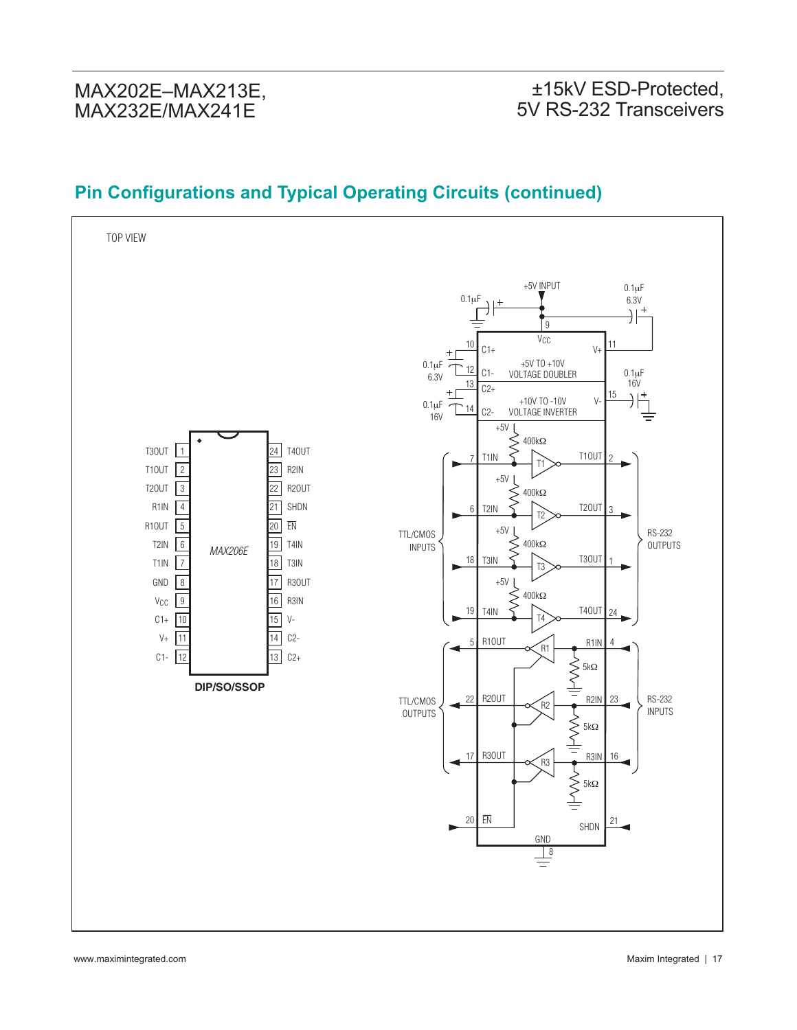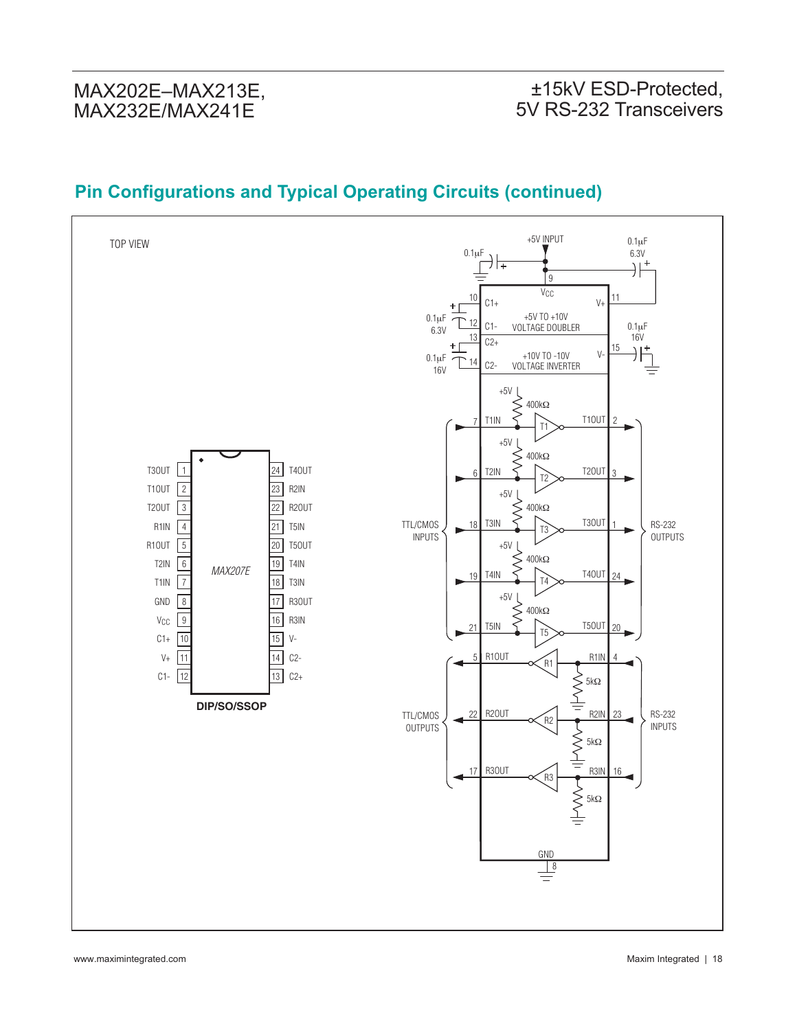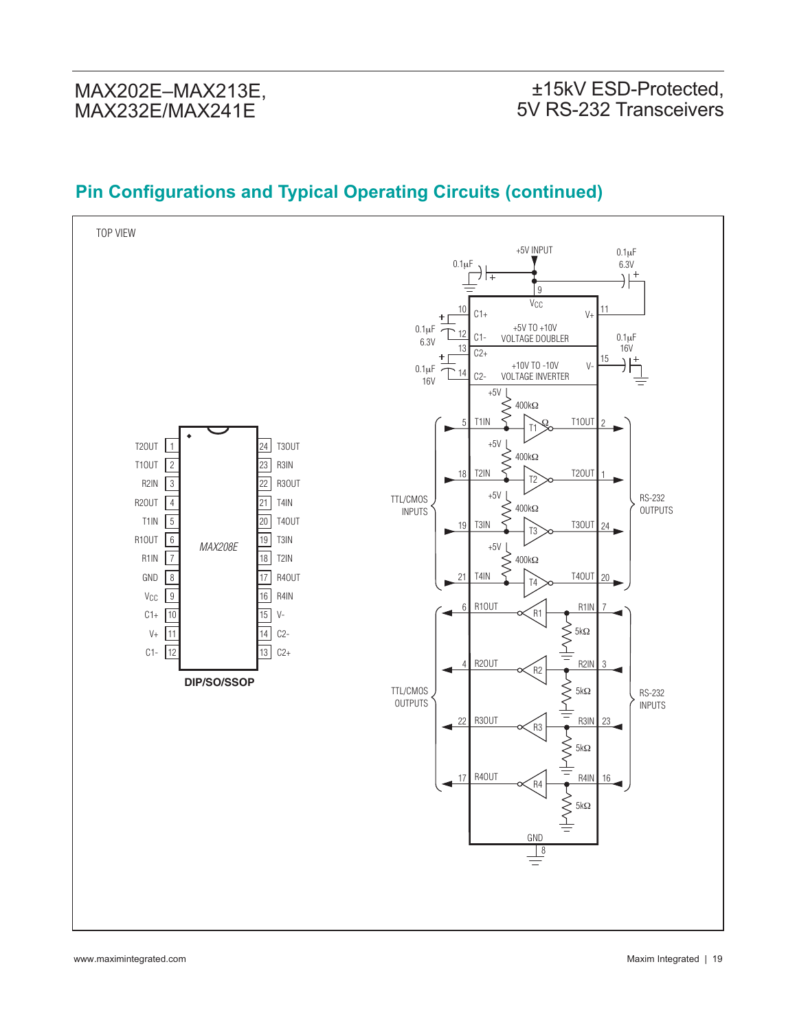#### TOP VIEW +5V INPUT  $0.1 \mu F$  $\overrightarrow{0.1\mu F}$  $6.3V$ <br> $\rightarrow \frac{+}{+}$ 9 V<sub>CC</sub> 10 11  $C1+$  $V_{+}$ 0.1μF +5V TO +10V 12 C1- 0.1μF 6.3V VOLTAGE DOUBLER 16V 13  $C2+$ 15  $\rightarrow$ +10V TO -10V  $\vee$ 0.1μF 14 C2- VOLTAGE INVERTER 16V  $+5V$ 400kΩ ≷  $\frac{111N}{11}$   $\frac{5}{11}$   $\frac{100T}{2}$ Ω5  $+5V$ T2OUT 1 24 T3OUT  $\lessgtr$ 400kΩ T1OUT  $\overline{23}$ R3IN 2 18  $\frac{121N}{12}$  T2 2001 1 R3OUT R2IN 3 22 +5V $\lfloor$ RS-232 TTL/CMOS R2OUT  $21$ T4IN 4 400kΩ  $\lesssim$ OUTPUTS INPUTS T1IN 5 20 T4OUT 19  $\frac{131N}{13}$  T3 24 r R1OUT 6  $19$ T3IN  $+5V$ *MAX208E* 7 18 R1IN T2IN 400kΩ  $\lesssim$ GND 8 17 R4OUT 21  $\frac{141N}{14}$   $\frac{5}{14}$   $\frac{1400T}{20}$ 16 9 R4IN **V<sub>CC</sub>**  $R10UT \propto R1$  R1IN 6 7  $C1+$ 10 15 V- $V<sub>+</sub>$ 11  $\overline{14}$  $C<sub>2</sub>$ 5kΩ C1- 12 13  $C2+$ 3 4  $\overline{R20UT}$   $\overline{R2}$   $\overline{R2}$   $\overline{R2IN}$ **DIP/SO/SSOP**  $R30UT$ <br> $R30UT$ <br> $R3$ <br> $R3IN$ <br> $R3IN$ TTL/CMOS 5kΩ RS-232 OUTPUTS INPUTS 23 22  $\sum_{\square}$  5kΩ  $\frac{17}{\sqrt{11}}$  R40UT  $\frac{16}{\sqrt{11}}$  R4IN 16  $\left\{\begin{matrix} 1 \\ 1 \\ 2 \end{matrix}\right\}$ 5kΩ GND  $\frac{1}{1}$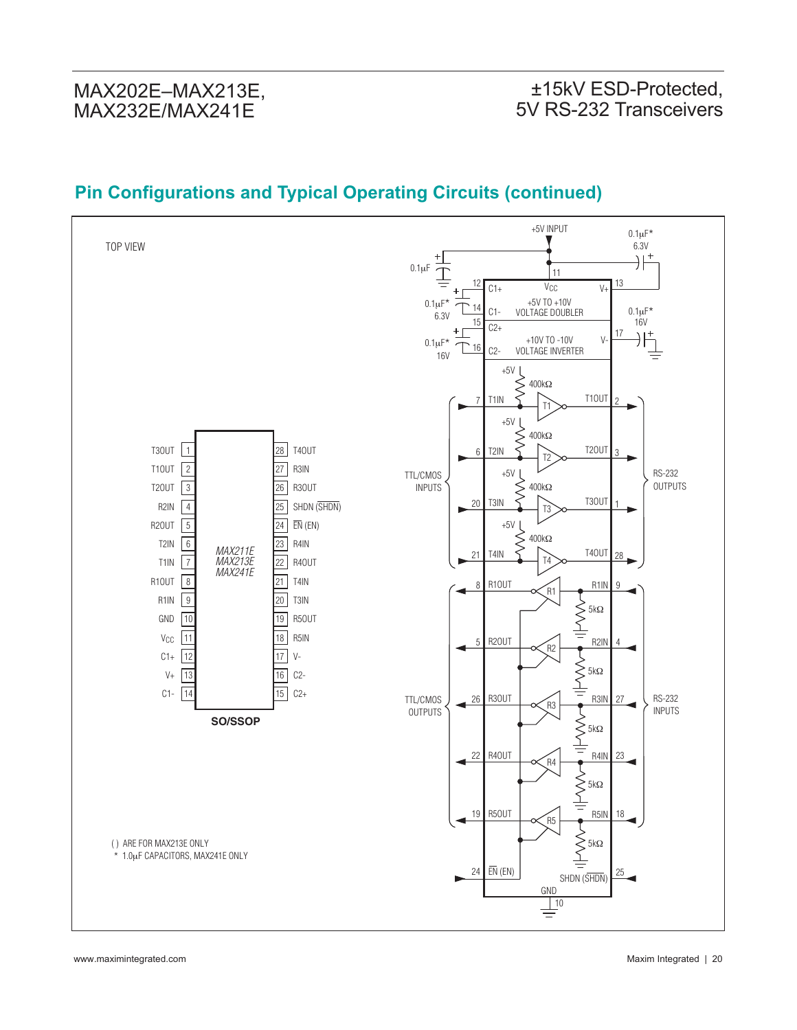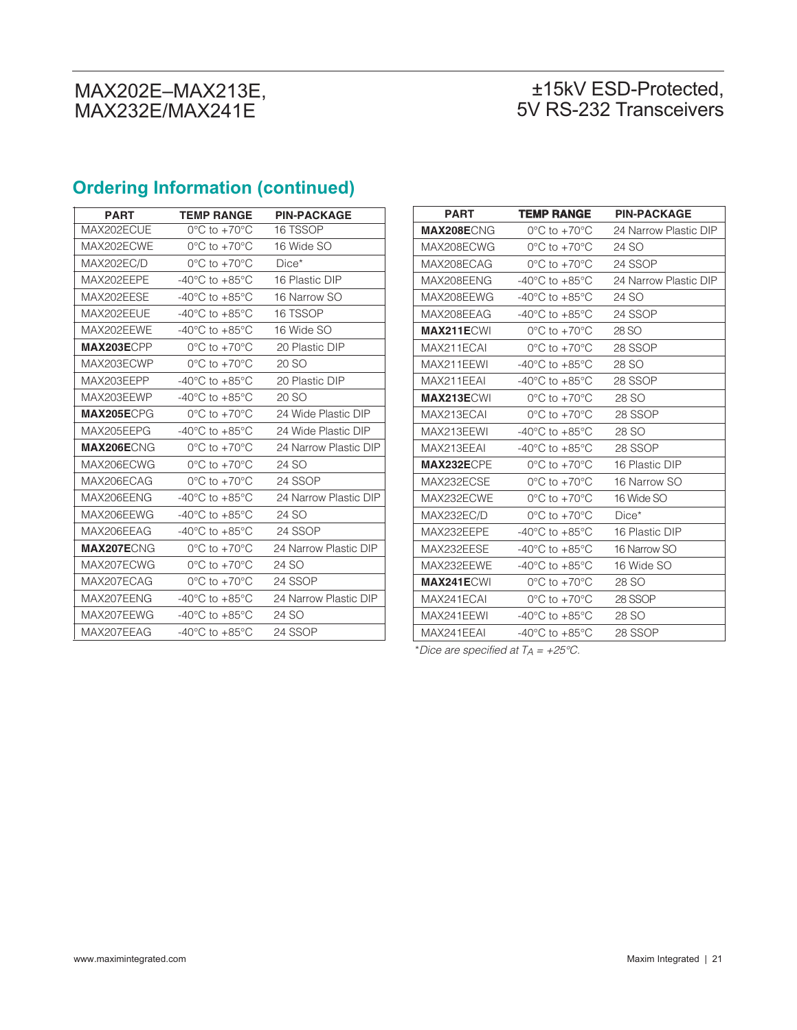## ±15kV ESD-Protected, 5V RS-232 Transceivers

# **Ordering Information (continued)**

| <b>PART</b>       | <b>TEMP RANGE</b>                    | <b>PIN-PACKAGE</b>    |
|-------------------|--------------------------------------|-----------------------|
| MAX202ECUE        | $0^{\circ}$ C to +70 $^{\circ}$ C    | 16 TSSOP              |
| MAX202ECWE        | $0^{\circ}$ C to $+70^{\circ}$ C     | 16 Wide SO            |
| MAX202EC/D        | $0^{\circ}$ C to $+70^{\circ}$ C     | $Dice*$               |
| MAX202EEPE        | -40 $^{\circ}$ C to +85 $^{\circ}$ C | 16 Plastic DIP        |
| MAX202EESE        | $-40^{\circ}$ C to $+85^{\circ}$ C   | 16 Narrow SO          |
| MAX202EEUE        | $-40^{\circ}$ C to $+85^{\circ}$ C   | 16 TSSOP              |
| MAX202EEWE        | $-40^{\circ}$ C to $+85^{\circ}$ C   | 16 Wide SO            |
| MAX203ECPP        | $0^{\circ}$ C to $+70^{\circ}$ C     | 20 Plastic DIP        |
| MAX203ECWP        | $0^{\circ}$ C to $+70^{\circ}$ C     | 20 SO                 |
| MAX203EEPP        | $-40^{\circ}$ C to $+85^{\circ}$ C   | 20 Plastic DIP        |
| MAX203EEWP        | $-40^{\circ}$ C to $+85^{\circ}$ C   | 20 SO                 |
| MAX205ECPG        | $0^{\circ}$ C to $+70^{\circ}$ C     | 24 Wide Plastic DIP   |
| MAX205EEPG        | $-40^{\circ}$ C to $+85^{\circ}$ C   | 24 Wide Plastic DIP   |
| MAX206ECNG        | $0^{\circ}$ C to $+70^{\circ}$ C     | 24 Narrow Plastic DIP |
| MAX206ECWG        | $0^{\circ}$ C to +70 $^{\circ}$ C    | 24 SO                 |
| MAX206ECAG        | $0^{\circ}$ C to $+70^{\circ}$ C     | 24 SSOP               |
| MAX206EENG        | $-40^{\circ}$ C to $+85^{\circ}$ C   | 24 Narrow Plastic DIP |
| MAX206EEWG        | $-40^{\circ}$ C to $+85^{\circ}$ C   | 24 SO                 |
| MAX206EEAG        | $-40^{\circ}$ C to $+85^{\circ}$ C   | 24 SSOP               |
| <b>MAX207ECNG</b> | $0^{\circ}$ C to +70 $^{\circ}$ C    | 24 Narrow Plastic DIP |
| MAX207ECWG        | $0^{\circ}$ C to +70 $^{\circ}$ C    | 24 SO                 |
| MAX207ECAG        | $0^{\circ}$ C to +70 $^{\circ}$ C    | 24 SSOP               |
| MAX207EENG        | -40°C to $+85^{\circ}$ C             | 24 Narrow Plastic DIP |
| MAX207EEWG        | $-40^{\circ}$ C to $+85^{\circ}$ C   | 24 SO                 |
| MAX207EEAG        | -40°C to +85°C                       | 24 SSOP               |

| <b>PART</b>       | <b>TEMP RANGE</b>                    | <b>PIN-PACKAGE</b>    |
|-------------------|--------------------------------------|-----------------------|
| MAX208ECNG        | $0^{\circ}$ C to +70 $^{\circ}$ C    | 24 Narrow Plastic DIP |
| MAX208ECWG        | $0^{\circ}$ C to +70 $^{\circ}$ C    | 24 SO                 |
| MAX208ECAG        | $0^{\circ}$ C to +70 $^{\circ}$ C    | 24 SSOP               |
| MAX208EENG        | -40 $^{\circ}$ C to +85 $^{\circ}$ C | 24 Narrow Plastic DIP |
| MAX208EEWG        | -40 $^{\circ}$ C to +85 $^{\circ}$ C | 24 SO                 |
| MAX208EEAG        | -40 $^{\circ}$ C to +85 $^{\circ}$ C | 24 SSOP               |
| <b>MAX211ECWI</b> | $0^{\circ}$ C to +70 $^{\circ}$ C    | 28 SO                 |
| MAX211ECAI        | $0^{\circ}$ C to +70 $^{\circ}$ C    | 28 SSOP               |
| MAX211EEWI        | -40 $^{\circ}$ C to +85 $^{\circ}$ C | 28 SO                 |
| MAX211EEAI        | -40 $^{\circ}$ C to +85 $^{\circ}$ C | 28 SSOP               |
| <b>MAX213ECWI</b> | $0^{\circ}$ C to +70 $^{\circ}$ C    | 28 SO                 |
| MAX213ECAL        | $0^{\circ}$ C to +70 $^{\circ}$ C    | 28 SSOP               |
| MAX213EEWI        | -40 $^{\circ}$ C to +85 $^{\circ}$ C | 28 SO                 |
| MAX213EEAI        | -40 $^{\circ}$ C to +85 $^{\circ}$ C | 28 SSOP               |
| MAX232ECPE        | $0^{\circ}$ C to $+70^{\circ}$ C     | 16 Plastic DIP        |
| MAX232ECSE        | $0^{\circ}$ C to +70 $^{\circ}$ C    | 16 Narrow SO          |
| MAX232ECWE        | $0^{\circ}$ C to +70 $^{\circ}$ C    | 16 Wide SO            |
| MAX232EC/D        | $0^{\circ}$ C to $+70^{\circ}$ C     | $Dice*$               |
| MAX232EEPE        | -40 $^{\circ}$ C to +85 $^{\circ}$ C | 16 Plastic DIP        |
| MAX232EESE        | -40 $^{\circ}$ C to +85 $^{\circ}$ C | 16 Narrow SO          |
| MAX232EEWE        | -40 $^{\circ}$ C to +85 $^{\circ}$ C | 16 Wide SO            |
| <b>MAX241ECWI</b> | $0^{\circ}$ C to +70 $^{\circ}$ C    | 28 SO                 |
| MAX241ECAI        | $0^{\circ}$ C to +70 $^{\circ}$ C    | 28 SSOP               |
| MAX241EEWI        | -40 $^{\circ}$ C to +85 $^{\circ}$ C | 28 SO                 |
| MAX241EEAI        | -40 $^{\circ}$ C to +85 $^{\circ}$ C | 28 SSOP               |

\*Dice are specified at  $TA = +25^{\circ}C$ .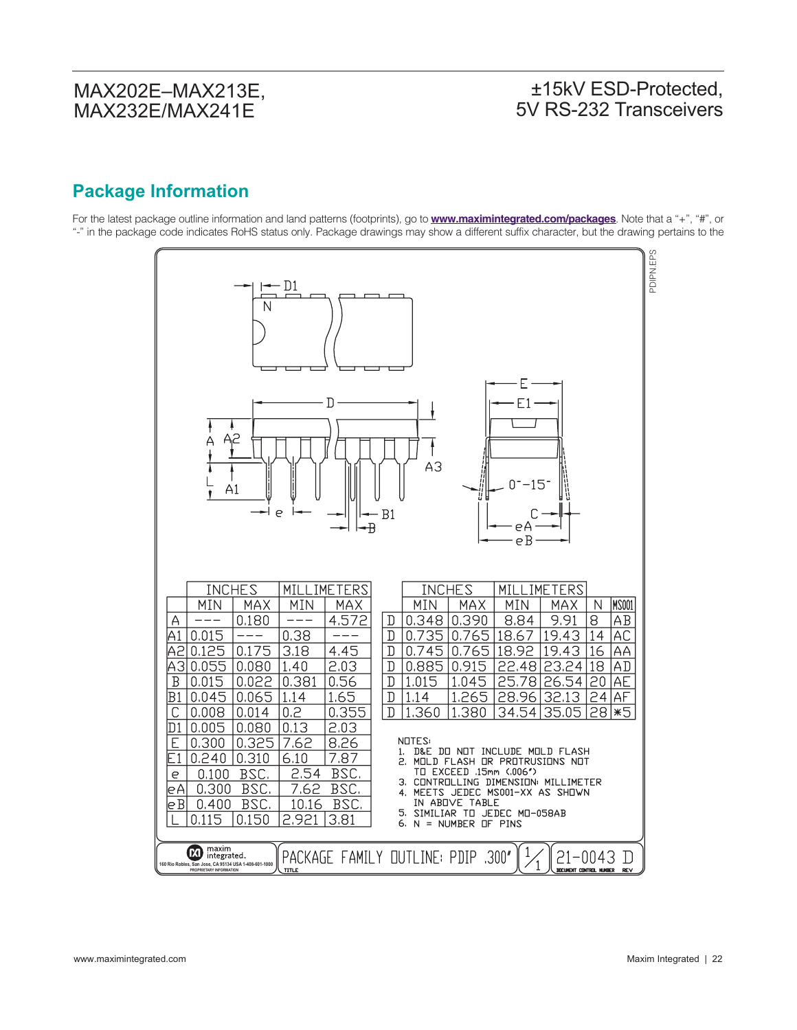### ±15kV ESD-Protected, 5V RS-232 Transceivers

# **Package Information**

For the latest package outline information and land patterns (footprints), go to **www.maximintegrated.com/packages**. Note that a "+", "#", or "-" in the package code indicates RoHS status only. Package drawings may show a different suffix character, but the drawing pertains to the

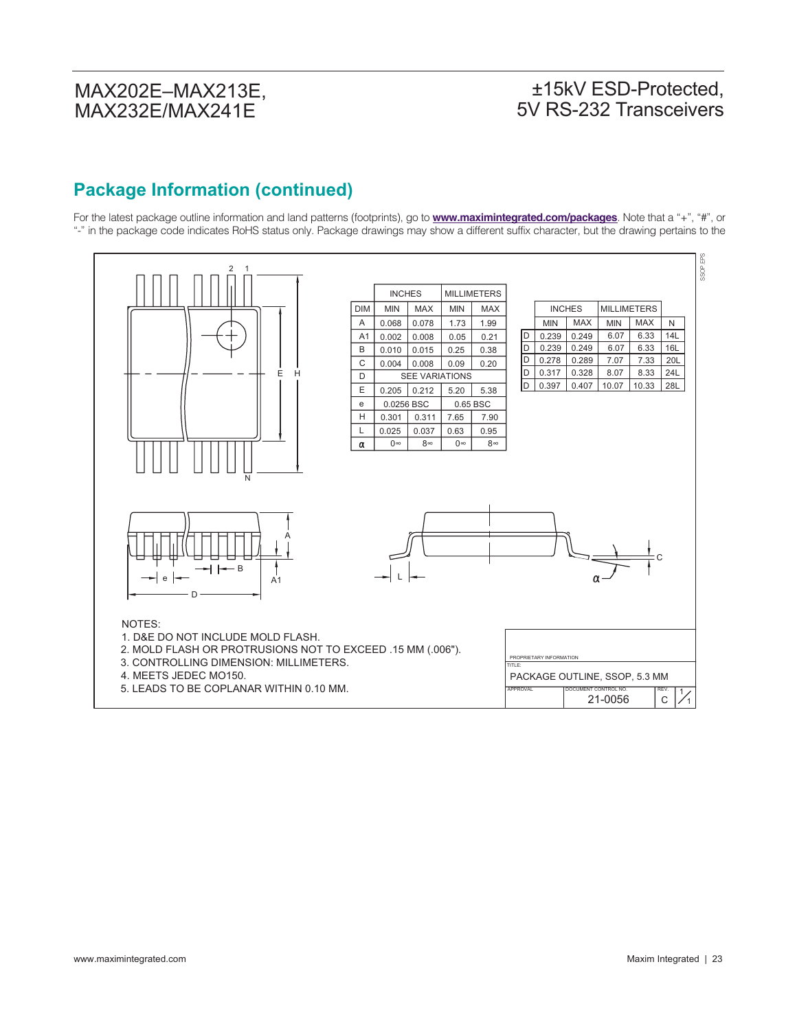# ±15kV ESD-Protected, 5V RS-232 Transceivers

## **Package Information (continued)**

For the latest package outline information and land patterns (footprints), go to **www.maximintegrated.com/packages**. Note that a "+", "#", or "-" in the package code indicates RoHS status only. Package drawings may show a different suffix character, but the drawing pertains to the

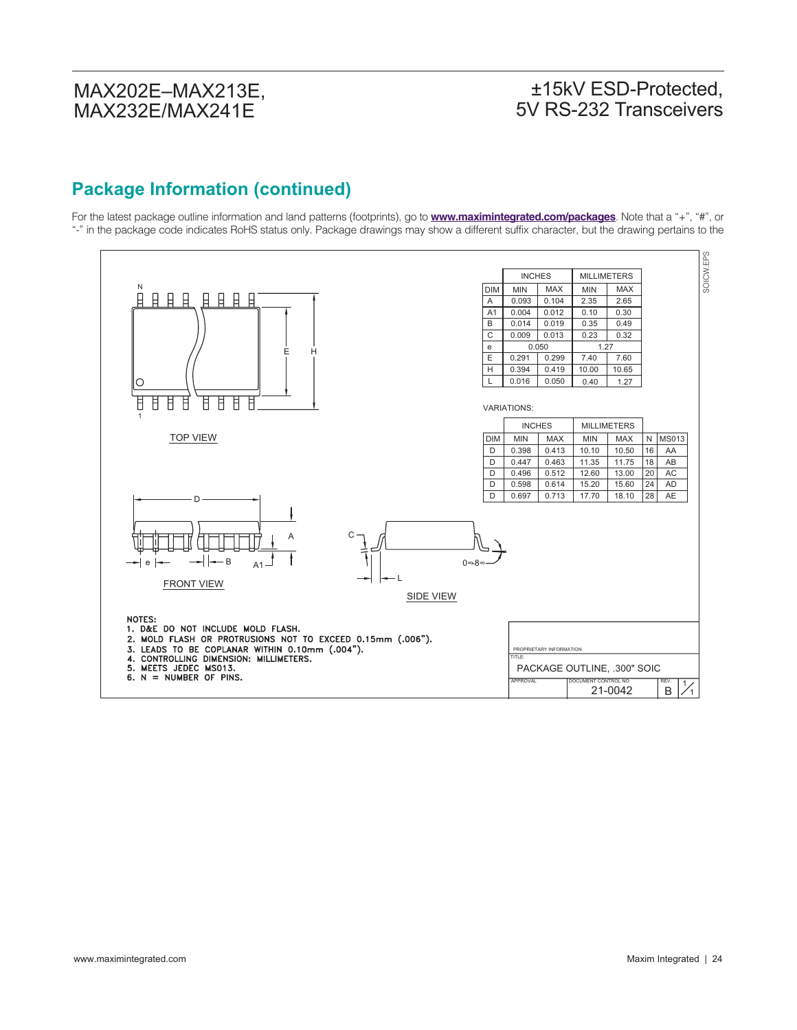### ±15kV ESD-Protected, 5V RS-232 Transceivers

# **Package Information (continued)**

For the latest package outline information and land patterns (footprints), go to **www.maximintegrated.com/packages**. Note that a "+", "#", or "-" in the package code indicates RoHS status only. Package drawings may show a different suffix character, but the drawing pertains to the